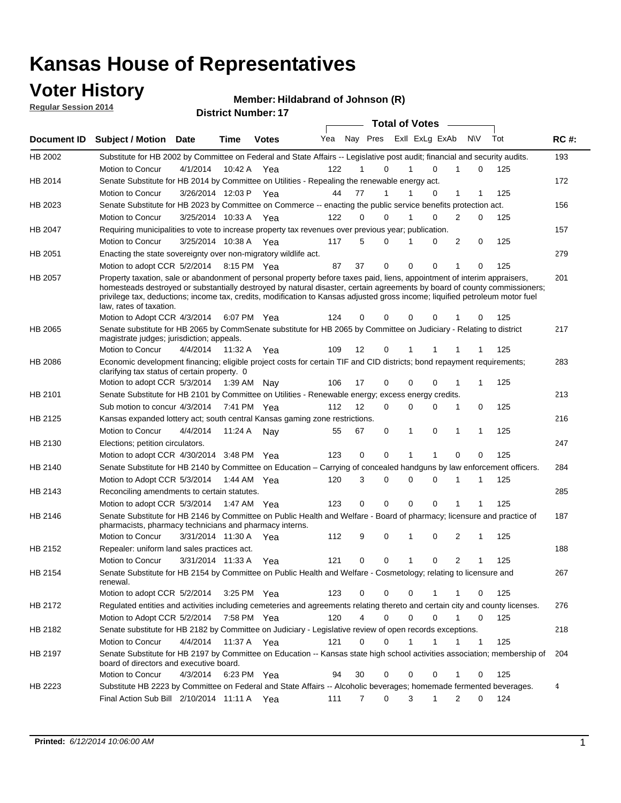## **Voter History**

**Regular Session 2014**

#### **Member: Hildabrand of Johnson (R)**

|                |                                                                                                                                                                                                                                                                                                                                                                                                                  |                       |             | <b>DISUILLE NUILIDEL.</b> IT |     |    |                               | <b>Total of Votes</b> |               |              |             |     |             |
|----------------|------------------------------------------------------------------------------------------------------------------------------------------------------------------------------------------------------------------------------------------------------------------------------------------------------------------------------------------------------------------------------------------------------------------|-----------------------|-------------|------------------------------|-----|----|-------------------------------|-----------------------|---------------|--------------|-------------|-----|-------------|
| Document ID    | <b>Subject / Motion Date</b>                                                                                                                                                                                                                                                                                                                                                                                     |                       | <b>Time</b> | <b>Votes</b>                 | Yea |    | Nay Pres Exll ExLg ExAb       |                       |               | <b>NV</b>    |             | Tot | <b>RC#:</b> |
| HB 2002        | Substitute for HB 2002 by Committee on Federal and State Affairs -- Legislative post audit; financial and security audits.                                                                                                                                                                                                                                                                                       |                       |             |                              |     |    |                               |                       |               |              |             |     | 193         |
|                | <b>Motion to Concur</b>                                                                                                                                                                                                                                                                                                                                                                                          | 4/1/2014              | 10:42 A     | Yea                          | 122 |    | 0                             |                       | $\Omega$<br>1 |              | 0           | 125 |             |
| HB 2014        | Senate Substitute for HB 2014 by Committee on Utilities - Repealing the renewable energy act.                                                                                                                                                                                                                                                                                                                    |                       |             |                              |     |    |                               |                       |               |              |             |     | 172         |
|                | Motion to Concur                                                                                                                                                                                                                                                                                                                                                                                                 | 3/26/2014 12:03 P Yea |             |                              | 44  | 77 | 1                             |                       | $\Omega$      | 1            | 1           | 125 |             |
| HB 2023        | Senate Substitute for HB 2023 by Committee on Commerce -- enacting the public service benefits protection act.                                                                                                                                                                                                                                                                                                   |                       |             |                              |     |    |                               |                       |               |              |             |     | 156         |
|                | Motion to Concur                                                                                                                                                                                                                                                                                                                                                                                                 | 3/25/2014 10:33 A Yea |             |                              | 122 |    | 0<br>0                        |                       | 0             | 2            | 0           | 125 |             |
| HB 2047        | Requiring municipalities to vote to increase property tax revenues over previous year; publication.                                                                                                                                                                                                                                                                                                              |                       |             |                              |     |    |                               |                       |               |              |             |     | 157         |
|                | Motion to Concur                                                                                                                                                                                                                                                                                                                                                                                                 | 3/25/2014 10:38 A Yea |             |                              | 117 |    | 5<br>0                        |                       | 0             | 2            | 0           | 125 |             |
| HB 2051        | Enacting the state sovereignty over non-migratory wildlife act.                                                                                                                                                                                                                                                                                                                                                  |                       |             |                              |     |    |                               |                       |               |              |             |     | 279         |
|                | Motion to adopt CCR 5/2/2014 8:15 PM Yea                                                                                                                                                                                                                                                                                                                                                                         |                       |             |                              | 87  | 37 | 0                             | $\mathbf 0$           | 0             | 1            | 0           | 125 |             |
| HB 2057        | Property taxation, sale or abandonment of personal property before taxes paid, liens, appointment of interim appraisers,<br>homesteads destroyed or substantially destroyed by natural disaster, certain agreements by board of county commissioners;<br>privilege tax, deductions; income tax, credits, modification to Kansas adjusted gross income; liquified petroleum motor fuel<br>law, rates of taxation. |                       |             |                              |     |    |                               |                       |               |              |             |     | 201         |
|                | Motion to Adopt CCR 4/3/2014                                                                                                                                                                                                                                                                                                                                                                                     |                       |             | 6:07 PM Yea                  | 124 | 0  | 0                             | 0                     | 0             |              | 0           | 125 |             |
| HB 2065        | Senate substitute for HB 2065 by CommSenate substitute for HB 2065 by Committee on Judiciary - Relating to district<br>magistrate judges; jurisdiction; appeals.                                                                                                                                                                                                                                                 |                       |             |                              |     |    |                               |                       |               |              |             |     | 217         |
|                | Motion to Concur                                                                                                                                                                                                                                                                                                                                                                                                 | 4/4/2014              | 11:32 A     | Yea                          | 109 | 12 | 0                             | 1                     | 1             |              |             | 125 |             |
| <b>HB 2086</b> | Economic development financing; eligible project costs for certain TIF and CID districts; bond repayment requirements;<br>clarifying tax status of certain property. 0                                                                                                                                                                                                                                           |                       |             |                              |     |    |                               |                       |               |              |             |     | 283         |
|                | Motion to adopt CCR 5/3/2014                                                                                                                                                                                                                                                                                                                                                                                     |                       | 1:39 AM Nay |                              | 106 | 17 | 0                             | $\mathbf 0$           | $\Omega$<br>1 |              | 1           | 125 |             |
| HB 2101        | Senate Substitute for HB 2101 by Committee on Utilities - Renewable energy; excess energy credits.                                                                                                                                                                                                                                                                                                               |                       |             |                              |     |    |                               |                       |               |              |             |     | 213         |
|                | Sub motion to concur 4/3/2014                                                                                                                                                                                                                                                                                                                                                                                    |                       |             | 7:41 PM Yea                  | 112 | 12 | 0                             | $\mathbf 0$           | 0             | 1            | 0           | 125 |             |
| HB 2125        | Kansas expanded lottery act; south central Kansas gaming zone restrictions.                                                                                                                                                                                                                                                                                                                                      |                       |             |                              |     |    |                               |                       |               |              |             |     | 216         |
|                | Motion to Concur                                                                                                                                                                                                                                                                                                                                                                                                 | 4/4/2014              | 11:24 A     | Nav                          | 55  | 67 | 0                             | 1                     | 0             | $\mathbf{1}$ | 1           | 125 |             |
| HB 2130        | Elections; petition circulators.                                                                                                                                                                                                                                                                                                                                                                                 |                       |             |                              |     |    |                               |                       |               |              |             |     | 247         |
|                | Motion to adopt CCR 4/30/2014 3:48 PM Yea                                                                                                                                                                                                                                                                                                                                                                        |                       |             |                              | 123 |    | 0<br>0                        |                       | 1             | 0            | 0           | 125 |             |
| HB 2140        | Senate Substitute for HB 2140 by Committee on Education – Carrying of concealed handguns by law enforcement officers.                                                                                                                                                                                                                                                                                            |                       |             |                              |     |    |                               |                       |               |              |             |     | 284         |
|                | Motion to Adopt CCR 5/3/2014                                                                                                                                                                                                                                                                                                                                                                                     |                       |             | 1:44 AM Yea                  | 120 |    | 3<br>0                        | $\mathbf 0$           | 0             | 1            | 1           | 125 |             |
| HB 2143        | Reconciling amendments to certain statutes.                                                                                                                                                                                                                                                                                                                                                                      |                       |             |                              |     |    |                               |                       |               |              |             |     | 285         |
|                | Motion to adopt CCR 5/3/2014                                                                                                                                                                                                                                                                                                                                                                                     |                       | 1:47 AM Yea |                              | 123 |    | 0<br>0                        | $\mathbf 0$           | 0             | 1            | 1           | 125 |             |
| HB 2146        | Senate Substitute for HB 2146 by Committee on Public Health and Welfare - Board of pharmacy; licensure and practice of<br>pharmacists, pharmacy technicians and pharmacy interns.                                                                                                                                                                                                                                |                       |             |                              |     |    |                               |                       |               |              |             |     | 187         |
|                | Motion to Concur                                                                                                                                                                                                                                                                                                                                                                                                 | 3/31/2014 11:30 A     |             | Yea                          | 112 |    | 9<br>0                        | 1                     | 0             | 2            | 1           | 125 |             |
| HB 2152        | Repealer: uniform land sales practices act.                                                                                                                                                                                                                                                                                                                                                                      |                       |             |                              |     |    |                               |                       |               |              |             |     | 188         |
|                | Motion to Concur                                                                                                                                                                                                                                                                                                                                                                                                 | 3/31/2014 11:33 A     |             | Yea                          | 121 | 0  | 0                             | 1                     | 0             | 2            | 1           | 125 |             |
| HB 2154        | Senate Substitute for HB 2154 by Committee on Public Health and Welfare - Cosmetology; relating to licensure and<br>renewal.                                                                                                                                                                                                                                                                                     |                       |             |                              |     |    |                               |                       |               |              |             |     | 267         |
|                | Motion to adopt CCR 5/2/2014                                                                                                                                                                                                                                                                                                                                                                                     |                       |             | 3:25 PM Yea                  | 123 |    | 0<br>0                        | 0                     | 1             | 1            | 0           | 125 |             |
| HB 2172        | Regulated entities and activities including cemeteries and agreements relating thereto and certain city and county licenses.                                                                                                                                                                                                                                                                                     |                       |             |                              |     |    |                               |                       |               |              |             |     | 276         |
|                | Motion to Adopt CCR 5/2/2014                                                                                                                                                                                                                                                                                                                                                                                     |                       |             | 7:58 PM Yea                  | 120 |    | $\overline{4}$<br>$\mathbf 0$ | $\mathbf 0$           | $\Omega$      | $\mathbf{1}$ | $\mathbf 0$ | 125 |             |
| HB 2182        | Senate substitute for HB 2182 by Committee on Judiciary - Legislative review of open records exceptions.                                                                                                                                                                                                                                                                                                         |                       |             |                              |     |    |                               |                       |               |              |             |     | 218         |
|                | Motion to Concur                                                                                                                                                                                                                                                                                                                                                                                                 | 4/4/2014              | 11:37 A Yea |                              | 121 |    | $\mathbf 0$<br>0              | 1                     | $\mathbf{1}$  | 1            | 1           | 125 |             |
| HB 2197        | Senate Substitute for HB 2197 by Committee on Education -- Kansas state high school activities association; membership of<br>board of directors and executive board.                                                                                                                                                                                                                                             |                       |             |                              |     |    |                               |                       |               |              |             |     | 204         |
|                | Motion to Concur                                                                                                                                                                                                                                                                                                                                                                                                 | 4/3/2014              |             | 6:23 PM Yea                  | 94  | 30 | 0                             | 0                     | 0             | 1            | 0           | 125 |             |
| HB 2223        | Substitute HB 2223 by Committee on Federal and State Affairs -- Alcoholic beverages; homemade fermented beverages.                                                                                                                                                                                                                                                                                               |                       |             |                              |     |    |                               |                       |               |              |             |     | 4           |
|                | Final Action Sub Bill 2/10/2014 11:11 A Yea                                                                                                                                                                                                                                                                                                                                                                      |                       |             |                              | 111 |    | $\overline{7}$<br>0           | 3                     | 1             | 2            | 0           | 124 |             |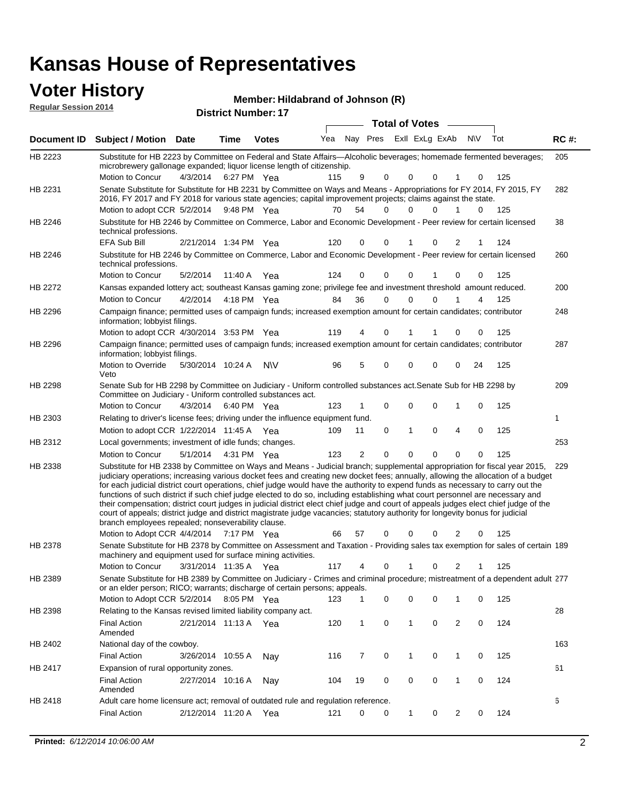## **Voter History**

| <b>VULGE LIBLUTY</b><br><b>Regular Session 2014</b> |                                                                                                                                                                                                                                                                        |          | <b>District Number: 17</b> |              | Member: Hildabrand of Johnson (R) |     |          |                  |          |           |     |             |
|-----------------------------------------------------|------------------------------------------------------------------------------------------------------------------------------------------------------------------------------------------------------------------------------------------------------------------------|----------|----------------------------|--------------|-----------------------------------|-----|----------|------------------|----------|-----------|-----|-------------|
|                                                     |                                                                                                                                                                                                                                                                        |          |                            |              |                                   |     |          | Total of Votes — |          |           |     |             |
| Document ID                                         | <b>Subject / Motion Date</b>                                                                                                                                                                                                                                           |          | Time                       | <b>Votes</b> | Yea                               | Nav | Pres     | Exll ExLg ExAb   |          | <b>NV</b> | Tot | <b>RC#:</b> |
| HB 2223                                             | Substitute for HB 2223 by Committee on Federal and State Affairs—Alcoholic beverages; homemade fermented beverages;<br>microbrewery gallonage expanded; liquor license length of citizenship.<br>Motion to Concur                                                      | 4/3/2014 | 6:27 PM Yea                |              | 115                               | 9   | $\Omega$ | $\Omega$         | $\Omega$ | $\Omega$  | 125 | 205         |
| HB 2231                                             | Senate Substitute for Substitute for HB 2231 by Committee on Ways and Means - Appropriations for FY 2014, FY 2015, FY<br>2016, FY 2017 and FY 2018 for various state agencies; capital improvement projects; claims against the state.<br>Motion to adopt CCR 5/2/2014 |          | 9:48 PM Yea                |              | 70                                | 54  | 0        | $\Omega$         | $\Omega$ |           | 125 | 282         |
| HB 2246                                             | Substitute for HB 2246 by Committee on Commerce, Labor and Economic Development - Peer review for certain licensed<br>technical professions.                                                                                                                           |          |                            |              |                                   |     |          |                  |          |           |     | 38          |

|                | Motion to adopt CCR 5/2/2014 9:48 PM                                                                                                                                                                                                                                                                                                                                                                                                                                                                                                                                                                                                                                                                                                                                                                                                                                |                       |             | Yea       | 70  | 54             | $\Omega$ | 0            | $\Omega$    |                | 0           | 125 |     |
|----------------|---------------------------------------------------------------------------------------------------------------------------------------------------------------------------------------------------------------------------------------------------------------------------------------------------------------------------------------------------------------------------------------------------------------------------------------------------------------------------------------------------------------------------------------------------------------------------------------------------------------------------------------------------------------------------------------------------------------------------------------------------------------------------------------------------------------------------------------------------------------------|-----------------------|-------------|-----------|-----|----------------|----------|--------------|-------------|----------------|-------------|-----|-----|
| HB 2246        | Substitute for HB 2246 by Committee on Commerce, Labor and Economic Development - Peer review for certain licensed<br>technical professions.                                                                                                                                                                                                                                                                                                                                                                                                                                                                                                                                                                                                                                                                                                                        |                       |             |           |     |                |          |              |             |                |             |     | 38  |
|                | EFA Sub Bill                                                                                                                                                                                                                                                                                                                                                                                                                                                                                                                                                                                                                                                                                                                                                                                                                                                        | 2/21/2014 1:34 PM Yea |             |           | 120 | 0              | 0        | 1            | $\Omega$    | 2              |             | 124 |     |
| HB 2246        | Substitute for HB 2246 by Committee on Commerce, Labor and Economic Development - Peer review for certain licensed<br>technical professions.                                                                                                                                                                                                                                                                                                                                                                                                                                                                                                                                                                                                                                                                                                                        |                       |             |           |     |                |          |              |             |                |             |     | 260 |
|                | Motion to Concur                                                                                                                                                                                                                                                                                                                                                                                                                                                                                                                                                                                                                                                                                                                                                                                                                                                    | 5/2/2014              | 11:40 A     | Yea       | 124 | $\Omega$       | $\Omega$ | $\mathbf{0}$ |             | 0              | 0           | 125 |     |
| HB 2272        | Kansas expanded lottery act; southeast Kansas gaming zone; privilege fee and investment threshold amount reduced.                                                                                                                                                                                                                                                                                                                                                                                                                                                                                                                                                                                                                                                                                                                                                   |                       |             |           |     |                |          |              |             |                |             |     | 200 |
|                | <b>Motion to Concur</b>                                                                                                                                                                                                                                                                                                                                                                                                                                                                                                                                                                                                                                                                                                                                                                                                                                             | 4/2/2014              | 4:18 PM Yea |           | 84  | 36             | 0        | 0            | $\Omega$    | 1              | 4           | 125 |     |
| HB 2296        | Campaign finance; permitted uses of campaign funds; increased exemption amount for certain candidates; contributor<br>information; lobbyist filings.                                                                                                                                                                                                                                                                                                                                                                                                                                                                                                                                                                                                                                                                                                                |                       |             |           |     |                |          |              |             |                |             |     | 248 |
|                | Motion to adopt CCR 4/30/2014 3:53 PM Yea                                                                                                                                                                                                                                                                                                                                                                                                                                                                                                                                                                                                                                                                                                                                                                                                                           |                       |             |           | 119 | 4              | 0        |              |             | 0              | 0           | 125 |     |
| HB 2296        | Campaign finance; permitted uses of campaign funds; increased exemption amount for certain candidates; contributor<br>information; lobbyist filings.                                                                                                                                                                                                                                                                                                                                                                                                                                                                                                                                                                                                                                                                                                                |                       |             |           |     |                |          |              |             |                |             |     | 287 |
|                | Motion to Override<br>Veto                                                                                                                                                                                                                                                                                                                                                                                                                                                                                                                                                                                                                                                                                                                                                                                                                                          | 5/30/2014 10:24 A     |             | <b>NV</b> | 96  | 5              | $\Omega$ | $\mathbf{0}$ | $\Omega$    |                | 24          | 125 |     |
| <b>HB 2298</b> | Senate Sub for HB 2298 by Committee on Judiciary - Uniform controlled substances act. Senate Sub for HB 2298 by<br>Committee on Judiciary - Uniform controlled substances act.                                                                                                                                                                                                                                                                                                                                                                                                                                                                                                                                                                                                                                                                                      |                       |             |           |     |                |          |              |             |                |             |     | 209 |
|                | <b>Motion to Concur</b>                                                                                                                                                                                                                                                                                                                                                                                                                                                                                                                                                                                                                                                                                                                                                                                                                                             | 4/3/2014              | 6:40 PM Yea |           | 123 |                | $\Omega$ | 0            | $\Omega$    | 1              | 0           | 125 |     |
| HB 2303        | Relating to driver's license fees; driving under the influence equipment fund.                                                                                                                                                                                                                                                                                                                                                                                                                                                                                                                                                                                                                                                                                                                                                                                      |                       |             |           |     |                |          |              |             |                |             |     | 1   |
|                | Motion to adopt CCR 1/22/2014 11:45 A Yea                                                                                                                                                                                                                                                                                                                                                                                                                                                                                                                                                                                                                                                                                                                                                                                                                           |                       |             |           | 109 | 11             | 0        | 1            | $\mathbf 0$ | 4              | $\mathbf 0$ | 125 |     |
| HB 2312        | Local governments; investment of idle funds; changes.                                                                                                                                                                                                                                                                                                                                                                                                                                                                                                                                                                                                                                                                                                                                                                                                               |                       |             |           |     |                |          |              |             |                |             |     | 253 |
|                | Motion to Concur                                                                                                                                                                                                                                                                                                                                                                                                                                                                                                                                                                                                                                                                                                                                                                                                                                                    | 5/1/2014              | 4:31 PM Yea |           | 123 | $\overline{2}$ | 0        | 0            | $\Omega$    | 0              | 0           | 125 |     |
| HB 2338        | Substitute for HB 2338 by Committee on Ways and Means - Judicial branch; supplemental appropriation for fiscal year 2015,<br>judiciary operations; increasing various docket fees and creating new docket fees; annually, allowing the allocation of a budget<br>for each judicial district court operations, chief judge would have the authority to expend funds as necessary to carry out the<br>functions of such district if such chief judge elected to do so, including establishing what court personnel are necessary and<br>their compensation; district court judges in judicial district elect chief judge and court of appeals judges elect chief judge of the<br>court of appeals; district judge and district magistrate judge vacancies; statutory authority for longevity bonus for judicial<br>branch employees repealed; nonseverability clause. |                       |             |           |     |                |          |              |             |                |             |     | 229 |
|                | Motion to Adopt CCR 4/4/2014                                                                                                                                                                                                                                                                                                                                                                                                                                                                                                                                                                                                                                                                                                                                                                                                                                        |                       | 7:17 PM Yea |           | 66  | 57             | 0        | 0            | $\Omega$    | 2              | 0           | 125 |     |
| HB 2378        | Senate Substitute for HB 2378 by Committee on Assessment and Taxation - Providing sales tax exemption for sales of certain 189<br>machinery and equipment used for surface mining activities.                                                                                                                                                                                                                                                                                                                                                                                                                                                                                                                                                                                                                                                                       |                       |             |           |     |                |          |              |             |                |             |     |     |
|                | Motion to Concur                                                                                                                                                                                                                                                                                                                                                                                                                                                                                                                                                                                                                                                                                                                                                                                                                                                    | 3/31/2014 11:35 A Yea |             |           | 117 | 4              | 0        | 1            | $\mathbf 0$ | 2              | 1           | 125 |     |
| HB 2389        | Senate Substitute for HB 2389 by Committee on Judiciary - Crimes and criminal procedure; mistreatment of a dependent adult 277<br>or an elder person; RICO; warrants; discharge of certain persons; appeals.                                                                                                                                                                                                                                                                                                                                                                                                                                                                                                                                                                                                                                                        |                       |             |           |     |                |          |              |             |                |             |     |     |
|                | Motion to Adopt CCR 5/2/2014 8:05 PM Yea                                                                                                                                                                                                                                                                                                                                                                                                                                                                                                                                                                                                                                                                                                                                                                                                                            |                       |             |           | 123 | 1              | 0        | 0            | $\Omega$    | 1              | 0           | 125 |     |
| HB 2398        | Relating to the Kansas revised limited liability company act.                                                                                                                                                                                                                                                                                                                                                                                                                                                                                                                                                                                                                                                                                                                                                                                                       |                       |             |           |     |                |          |              |             |                |             |     | 28  |
|                | <b>Final Action</b><br>Amended                                                                                                                                                                                                                                                                                                                                                                                                                                                                                                                                                                                                                                                                                                                                                                                                                                      | 2/21/2014 11:13 A     |             | Yea       | 120 | 1              | 0        | 1            | $\mathbf 0$ | $\overline{2}$ | $\mathbf 0$ | 124 |     |
| HB 2402        | National day of the cowboy.                                                                                                                                                                                                                                                                                                                                                                                                                                                                                                                                                                                                                                                                                                                                                                                                                                         |                       |             |           |     |                |          |              |             |                |             |     | 163 |
|                | <b>Final Action</b>                                                                                                                                                                                                                                                                                                                                                                                                                                                                                                                                                                                                                                                                                                                                                                                                                                                 | 3/26/2014 10:55 A     |             | Nav       | 116 | 7              | 0        | 1            | 0           | 1              | 0           | 125 |     |
| HB 2417        | Expansion of rural opportunity zones.                                                                                                                                                                                                                                                                                                                                                                                                                                                                                                                                                                                                                                                                                                                                                                                                                               |                       |             |           |     |                |          |              |             |                |             |     | 61  |
|                | <b>Final Action</b><br>Amended                                                                                                                                                                                                                                                                                                                                                                                                                                                                                                                                                                                                                                                                                                                                                                                                                                      | 2/27/2014 10:16 A     |             | Nav       | 104 | 19             | 0        | 0            | $\mathbf 0$ | 1              | $\mathbf 0$ | 124 |     |
| HB 2418        | Adult care home licensure act; removal of outdated rule and regulation reference.                                                                                                                                                                                                                                                                                                                                                                                                                                                                                                                                                                                                                                                                                                                                                                                   |                       |             |           |     |                |          |              |             |                |             |     | 6   |
|                | <b>Final Action</b>                                                                                                                                                                                                                                                                                                                                                                                                                                                                                                                                                                                                                                                                                                                                                                                                                                                 | 2/12/2014 11:20 A     |             | Yea       | 121 | 0              | 0        | 1            | 0           | $\overline{2}$ | $\mathbf 0$ | 124 |     |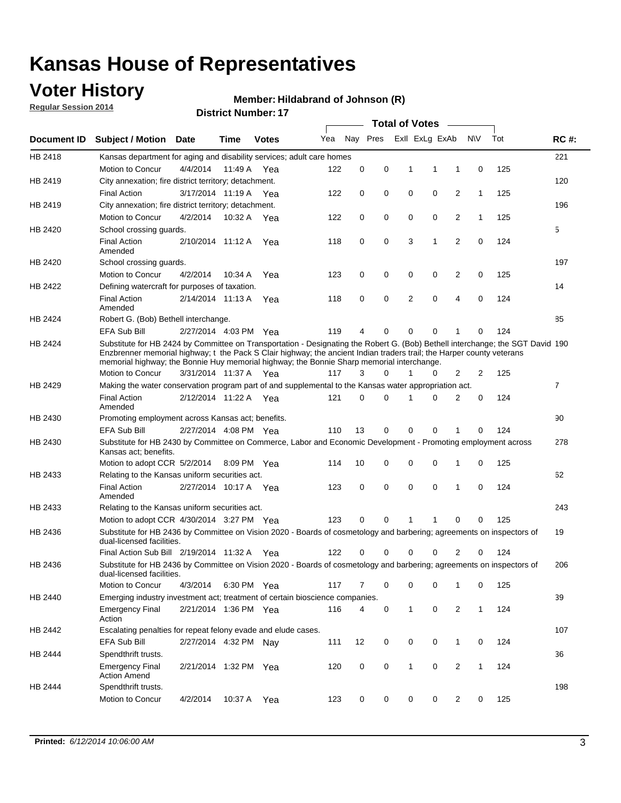## **Voter History**

**Regular Session 2014**

#### **Member: Hildabrand of Johnson (R)**

|                |                                                                                                                                                                                                                                                                                                                                                      |                       |             | <b>DISUILLINUIIIDEL.</b> II |     |             |          | <b>Total of Votes</b> |                |                |              |     |                |
|----------------|------------------------------------------------------------------------------------------------------------------------------------------------------------------------------------------------------------------------------------------------------------------------------------------------------------------------------------------------------|-----------------------|-------------|-----------------------------|-----|-------------|----------|-----------------------|----------------|----------------|--------------|-----|----------------|
| Document ID    | <b>Subject / Motion Date</b>                                                                                                                                                                                                                                                                                                                         |                       | Time        | <b>Votes</b>                | Yea |             | Nay Pres |                       | Exll ExLg ExAb |                | <b>NV</b>    | Tot | <b>RC#:</b>    |
| HB 2418        | Kansas department for aging and disability services; adult care homes                                                                                                                                                                                                                                                                                |                       |             |                             |     |             |          |                       |                |                |              |     | 221            |
|                | Motion to Concur                                                                                                                                                                                                                                                                                                                                     | 4/4/2014              | 11:49 A     | Yea                         | 122 | 0           | 0        | 1                     | 1              | 1              | 0            | 125 |                |
| HB 2419        | City annexation; fire district territory; detachment.                                                                                                                                                                                                                                                                                                |                       |             |                             |     |             |          |                       |                |                |              |     | 120            |
|                | <b>Final Action</b>                                                                                                                                                                                                                                                                                                                                  | 3/17/2014 11:19 A     |             | Yea                         | 122 | 0           | 0        | $\mathbf 0$           | 0              | 2              | $\mathbf{1}$ | 125 |                |
| HB 2419        | City annexation; fire district territory; detachment.                                                                                                                                                                                                                                                                                                |                       |             |                             |     |             |          |                       |                |                |              |     | 196            |
|                | Motion to Concur                                                                                                                                                                                                                                                                                                                                     | 4/2/2014              | 10:32 A     | Yea                         | 122 | 0           | 0        | $\mathbf 0$           | 0              | 2              | $\mathbf{1}$ | 125 |                |
| HB 2420        | School crossing quards.                                                                                                                                                                                                                                                                                                                              |                       |             |                             |     |             |          |                       |                |                |              |     | 5              |
|                | <b>Final Action</b><br>Amended                                                                                                                                                                                                                                                                                                                       | 2/10/2014 11:12 A     |             | Yea                         | 118 | 0           | 0        | 3                     | 1              | 2              | 0            | 124 |                |
| HB 2420        | School crossing guards.                                                                                                                                                                                                                                                                                                                              |                       |             |                             |     |             |          |                       |                |                |              |     | 197            |
|                | Motion to Concur                                                                                                                                                                                                                                                                                                                                     | 4/2/2014              | 10:34 A     | Yea                         | 123 | 0           | 0        | 0                     | 0              | 2              | 0            | 125 |                |
| HB 2422        | Defining watercraft for purposes of taxation.                                                                                                                                                                                                                                                                                                        |                       |             |                             |     |             |          |                       |                |                |              |     | 14             |
|                | <b>Final Action</b><br>Amended                                                                                                                                                                                                                                                                                                                       | 2/14/2014 11:13 A     |             | Yea                         | 118 | 0           | 0        | 2                     | $\mathbf 0$    | 4              | 0            | 124 |                |
| HB 2424        | Robert G. (Bob) Bethell interchange.                                                                                                                                                                                                                                                                                                                 |                       |             |                             |     |             |          |                       |                |                |              |     | 85             |
|                | <b>EFA Sub Bill</b>                                                                                                                                                                                                                                                                                                                                  | 2/27/2014 4:03 PM Yea |             |                             | 119 | 4           | 0        | 0                     | $\mathbf 0$    | 1              | $\Omega$     | 124 |                |
| HB 2424        | Substitute for HB 2424 by Committee on Transportation - Designating the Robert G. (Bob) Bethell interchange; the SGT David 190<br>Enzbrenner memorial highway; t the Pack S Clair highway; the ancient Indian traders trail; the Harper county veterans<br>memorial highway; the Bonnie Huy memorial highway; the Bonnie Sharp memorial interchange. |                       |             |                             |     |             |          |                       |                |                |              |     |                |
|                | Motion to Concur                                                                                                                                                                                                                                                                                                                                     | 3/31/2014 11:37 A Yea |             |                             | 117 | 3           | 0        | 1                     | 0              | 2              | 2            | 125 |                |
| HB 2429        | Making the water conservation program part of and supplemental to the Kansas water appropriation act.                                                                                                                                                                                                                                                |                       |             |                             |     |             |          |                       |                |                |              |     | $\overline{7}$ |
|                | <b>Final Action</b><br>Amended                                                                                                                                                                                                                                                                                                                       | 2/12/2014 11:22 A     |             | Yea                         | 121 | $\mathbf 0$ | 0        | 1                     | $\Omega$       | $\overline{2}$ | 0            | 124 |                |
| HB 2430        | Promoting employment across Kansas act; benefits.                                                                                                                                                                                                                                                                                                    |                       |             |                             |     |             |          |                       |                |                |              |     | 90             |
|                | EFA Sub Bill                                                                                                                                                                                                                                                                                                                                         | 2/27/2014 4:08 PM Yea |             |                             | 110 | 13          | 0        | 0                     | 0              | 1              | $\Omega$     | 124 |                |
| HB 2430        | Substitute for HB 2430 by Committee on Commerce, Labor and Economic Development - Promoting employment across<br>Kansas act; benefits.                                                                                                                                                                                                               |                       |             |                             |     |             |          |                       |                |                |              |     | 278            |
|                | Motion to adopt CCR 5/2/2014                                                                                                                                                                                                                                                                                                                         |                       | 8:09 PM Yea |                             | 114 | 10          | 0        | 0                     | $\mathbf 0$    | 1              | 0            | 125 |                |
| HB 2433        | Relating to the Kansas uniform securities act.                                                                                                                                                                                                                                                                                                       |                       |             |                             |     |             |          |                       |                |                |              |     | 62             |
|                | <b>Final Action</b><br>Amended                                                                                                                                                                                                                                                                                                                       | 2/27/2014 10:17 A Yea |             |                             | 123 | 0           | 0        | $\mathbf 0$           | $\mathbf 0$    | 1              | 0            | 124 |                |
| HB 2433        | Relating to the Kansas uniform securities act.                                                                                                                                                                                                                                                                                                       |                       |             |                             |     |             |          |                       |                |                |              |     | 243            |
|                | Motion to adopt CCR 4/30/2014 3:27 PM Yea                                                                                                                                                                                                                                                                                                            |                       |             |                             | 123 | 0           | 0        | 1                     | 1              | 0              | 0            | 125 |                |
| HB 2436        | Substitute for HB 2436 by Committee on Vision 2020 - Boards of cosmetology and barbering; agreements on inspectors of<br>dual-licensed facilities.                                                                                                                                                                                                   |                       |             |                             |     |             |          |                       |                |                |              |     | 19             |
|                | Final Action Sub Bill 2/19/2014 11:32 A                                                                                                                                                                                                                                                                                                              |                       |             | Yea                         | 122 | 0           | 0        | 0                     | $\Omega$       | 2              | 0            | 124 |                |
| HB 2436        | Substitute for HB 2436 by Committee on Vision 2020 - Boards of cosmetology and barbering; agreements on inspectors of<br>dual-licensed facilities.                                                                                                                                                                                                   |                       |             |                             |     |             |          |                       |                |                |              |     | 206            |
|                | Motion to Concur                                                                                                                                                                                                                                                                                                                                     | 4/3/2014              | 6:30 PM Yea |                             | 117 | 7           | 0        | 0                     | 0              | 1              | 0            | 125 |                |
| <b>HB 2440</b> | Emerging industry investment act; treatment of certain bioscience companies.                                                                                                                                                                                                                                                                         |                       |             |                             |     |             |          |                       |                |                |              |     | 39             |
|                | <b>Emergency Final</b><br>Action                                                                                                                                                                                                                                                                                                                     | 2/21/2014 1:36 PM Yea |             |                             | 116 | 4           | 0        | 1                     | 0              | 2              | $\mathbf{1}$ | 124 |                |
| HB 2442        | Escalating penalties for repeat felony evade and elude cases.                                                                                                                                                                                                                                                                                        |                       |             |                             |     |             |          |                       |                |                |              |     | 107            |
|                | EFA Sub Bill                                                                                                                                                                                                                                                                                                                                         | 2/27/2014 4:32 PM Nay |             |                             | 111 | 12          | 0        | 0                     | 0              | $\mathbf{1}$   | 0            | 124 |                |
| HB 2444        | Spendthrift trusts.                                                                                                                                                                                                                                                                                                                                  |                       |             |                             |     |             |          |                       |                |                |              |     | 36             |
|                | <b>Emergency Final</b><br><b>Action Amend</b>                                                                                                                                                                                                                                                                                                        | 2/21/2014 1:32 PM Yea |             |                             | 120 | 0           | 0        | 1                     | 0              | 2              | $\mathbf{1}$ | 124 |                |
| HB 2444        | Spendthrift trusts.                                                                                                                                                                                                                                                                                                                                  |                       |             |                             |     |             |          |                       |                |                |              |     | 198            |
|                | Motion to Concur                                                                                                                                                                                                                                                                                                                                     | 4/2/2014              | 10:37 A     | Yea                         | 123 | 0           | 0        | 0                     | 0              | 2              | 0            | 125 |                |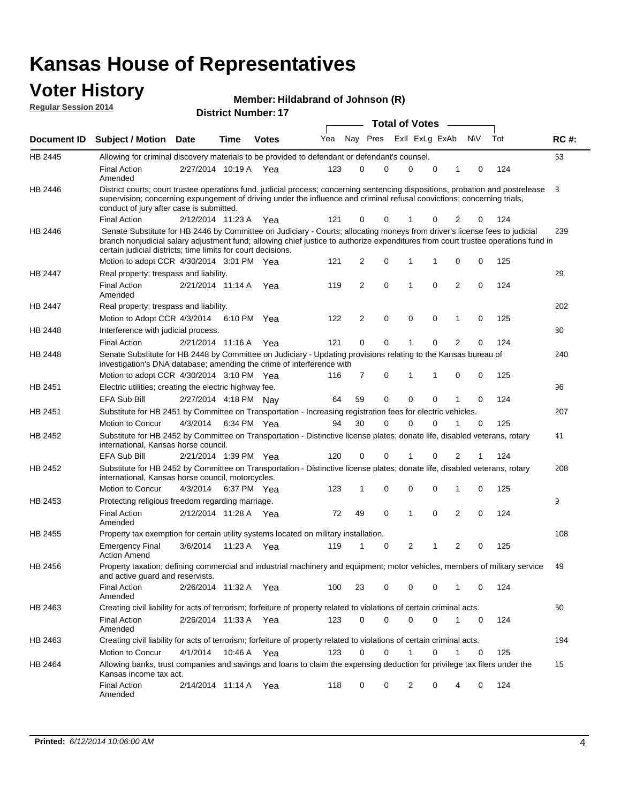#### **Voter History Regular Session 2014**

|  | Member: Hildabrand of Johnson (R) |  |  |
|--|-----------------------------------|--|--|
|--|-----------------------------------|--|--|

|         |                                                                                                                                                                                                                                                                                                                                 |                       |      |              |     |    |             | <b>Total of Votes</b> |             |                |             |     |             |
|---------|---------------------------------------------------------------------------------------------------------------------------------------------------------------------------------------------------------------------------------------------------------------------------------------------------------------------------------|-----------------------|------|--------------|-----|----|-------------|-----------------------|-------------|----------------|-------------|-----|-------------|
|         | Document ID Subject / Motion Date                                                                                                                                                                                                                                                                                               |                       | Time | <b>Votes</b> | Yea |    | Nay Pres    | Exll ExLg ExAb        |             |                | N\V         | Tot | <b>RC#:</b> |
| HB 2445 | Allowing for criminal discovery materials to be provided to defendant or defendant's counsel.                                                                                                                                                                                                                                   |                       |      |              |     |    |             |                       |             |                |             |     | 63          |
|         | <b>Final Action</b><br>Amended                                                                                                                                                                                                                                                                                                  | 2/27/2014 10:19 A Yea |      |              | 123 | 0  | 0           | $\mathbf 0$           | $\mathbf 0$ | 1              | 0           | 124 |             |
| HB 2446 | District courts; court trustee operations fund. judicial process; concerning sentencing dispositions, probation and postrelease<br>supervision; concerning expungement of driving under the influence and criminal refusal convictions; concerning trials,<br>conduct of jury after case is submitted.                          |                       |      |              |     |    |             |                       |             |                |             |     | 8           |
|         | <b>Final Action</b>                                                                                                                                                                                                                                                                                                             | 2/12/2014 11:23 A Yea |      |              | 121 | 0  | 0           |                       | 0           | 2              | 0           | 124 |             |
| HB 2446 | Senate Substitute for HB 2446 by Committee on Judiciary - Courts; allocating moneys from driver's license fees to judicial<br>branch nonjudicial salary adjustment fund; allowing chief justice to authorize expenditures from court trustee operations fund in<br>certain judicial districts; time limits for court decisions. |                       |      |              |     |    |             |                       |             |                |             |     | 239         |
|         | Motion to adopt CCR 4/30/2014 3:01 PM Yea                                                                                                                                                                                                                                                                                       |                       |      |              | 121 | 2  | 0           | 1                     | 1           | 0              | 0           | 125 |             |
| HB 2447 | Real property; trespass and liability.                                                                                                                                                                                                                                                                                          |                       |      |              |     |    |             |                       |             |                |             |     | 29          |
|         | <b>Final Action</b><br>Amended                                                                                                                                                                                                                                                                                                  | 2/21/2014 11:14 A Yea |      |              | 119 | 2  | $\mathbf 0$ | $\mathbf 1$           | $\mathbf 0$ | 2              | 0           | 124 |             |
| HB 2447 | Real property; trespass and liability.                                                                                                                                                                                                                                                                                          |                       |      |              |     |    |             |                       |             |                |             |     | 202         |
|         | Motion to Adopt CCR 4/3/2014                                                                                                                                                                                                                                                                                                    |                       |      | 6:10 PM Yea  | 122 | 2  | $\mathbf 0$ | $\mathbf 0$           | $\mathbf 0$ | 1              | 0           | 125 |             |
| HB 2448 | Interference with judicial process.                                                                                                                                                                                                                                                                                             |                       |      |              |     |    |             |                       |             |                |             |     | 30          |
|         | <b>Final Action</b>                                                                                                                                                                                                                                                                                                             | 2/21/2014 11:16 A Yea |      |              | 121 | 0  | 0           | $\mathbf 1$           | 0           | $\overline{2}$ | 0           | 124 |             |
| HB 2448 | Senate Substitute for HB 2448 by Committee on Judiciary - Updating provisions relating to the Kansas bureau of<br>investigation's DNA database; amending the crime of interference with                                                                                                                                         |                       |      |              |     |    |             |                       |             |                |             |     | 240         |
|         | Motion to adopt CCR 4/30/2014 3:10 PM Yea                                                                                                                                                                                                                                                                                       |                       |      |              | 116 | 7  | 0           | 1                     | 1           | 0              | 0           | 125 |             |
| HB 2451 | Electric utilities; creating the electric highway fee.                                                                                                                                                                                                                                                                          |                       |      |              |     |    |             |                       |             |                |             |     | 96          |
|         | <b>EFA Sub Bill</b>                                                                                                                                                                                                                                                                                                             | 2/27/2014 4:18 PM Nay |      |              | 64  | 59 | 0           | $\mathbf 0$           | 0           | 1              | 0           | 124 |             |
| HB 2451 | Substitute for HB 2451 by Committee on Transportation - Increasing registration fees for electric vehicles.                                                                                                                                                                                                                     |                       |      |              |     |    |             |                       |             |                |             |     | 207         |
|         | Motion to Concur                                                                                                                                                                                                                                                                                                                | 4/3/2014              |      | 6:34 PM Yea  | 94  | 30 | 0           | $\Omega$              | 0           |                | 0           | 125 |             |
| HB 2452 | Substitute for HB 2452 by Committee on Transportation - Distinctive license plates; donate life, disabled veterans, rotary<br>international, Kansas horse council.                                                                                                                                                              |                       |      |              |     |    |             |                       |             |                |             |     | 41          |
|         | <b>EFA Sub Bill</b>                                                                                                                                                                                                                                                                                                             | 2/21/2014 1:39 PM Yea |      |              | 120 | 0  | 0           |                       | 0           | 2              | 1           | 124 |             |
| HB 2452 | Substitute for HB 2452 by Committee on Transportation - Distinctive license plates; donate life, disabled veterans, rotary<br>international, Kansas horse council, motorcycles.                                                                                                                                                 |                       |      |              |     |    |             |                       |             |                |             |     | 208         |
|         | Motion to Concur                                                                                                                                                                                                                                                                                                                | 4/3/2014              |      | 6:37 PM Yea  | 123 | 1  | $\mathbf 0$ | $\mathbf 0$           | 0           | 1              | 0           | 125 |             |
| HB 2453 | Protecting religious freedom regarding marriage.                                                                                                                                                                                                                                                                                |                       |      |              |     |    |             |                       |             |                |             |     | 9           |
|         | <b>Final Action</b><br>Amended                                                                                                                                                                                                                                                                                                  | 2/12/2014 11:28 A Yea |      |              | 72  | 49 | $\mathbf 0$ | $\overline{1}$        | $\Omega$    | 2              | 0           | 124 |             |
| HB 2455 | Property tax exemption for certain utility systems located on military installation.                                                                                                                                                                                                                                            |                       |      |              |     |    |             |                       |             |                |             |     | 108         |
|         | <b>Emergency Final</b><br><b>Action Amend</b>                                                                                                                                                                                                                                                                                   | 3/6/2014              |      | 11:23 A Yea  | 119 | 1  | 0           | $\overline{2}$        | 1           | 2              | 0           | 125 |             |
| HB 2456 | Property taxation; defining commercial and industrial machinery and equipment; motor vehicles, members of military service<br>and active guard and reservists.                                                                                                                                                                  |                       |      |              |     |    |             |                       |             |                |             |     | 49          |
|         | <b>Final Action</b><br>Amended                                                                                                                                                                                                                                                                                                  | 2/26/2014 11:32 A Yea |      |              | 100 | 23 | 0           | 0                     | 0           | 1              | 0           | 124 |             |
| HB 2463 | Creating civil liability for acts of terrorism; forfeiture of property related to violations of certain criminal acts.                                                                                                                                                                                                          |                       |      |              |     |    |             |                       |             |                |             |     | 50          |
|         | <b>Final Action</b><br>Amended                                                                                                                                                                                                                                                                                                  | 2/26/2014 11:33 A Yea |      |              | 123 | 0  | $\mathbf 0$ | $\mathbf 0$           | $\mathbf 0$ | $\mathbf{1}$   | $\mathbf 0$ | 124 |             |
| HB 2463 | Creating civil liability for acts of terrorism; forfeiture of property related to violations of certain criminal acts.                                                                                                                                                                                                          |                       |      |              |     |    |             |                       |             |                |             |     | 194         |
|         | Motion to Concur                                                                                                                                                                                                                                                                                                                | 4/1/2014              |      | 10:46 A Yea  | 123 | 0  | $\mathbf 0$ | 1                     | 0           | 1              | 0           | 125 |             |
| HB 2464 | Allowing banks, trust companies and savings and loans to claim the expensing deduction for privilege tax filers under the<br>Kansas income tax act.                                                                                                                                                                             |                       |      |              |     |    |             |                       |             |                |             |     | 15          |
|         | <b>Final Action</b><br>Amended                                                                                                                                                                                                                                                                                                  | 2/14/2014 11:14 A Yea |      |              | 118 | 0  | 0           | 2                     | 0           | 4              | 0           | 124 |             |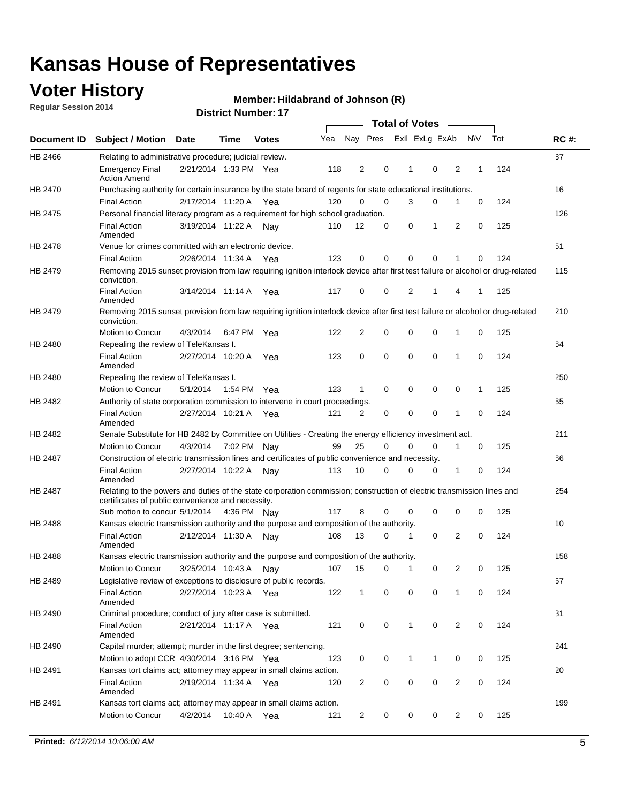## **Voter History**

**Regular Session 2014**

#### **Member: Hildabrand of Johnson (R)**

|                    |                                                                                                                                                                             |                       |         |              |     |                |   | <b>Total of Votes</b> |             |                         |              |     |             |
|--------------------|-----------------------------------------------------------------------------------------------------------------------------------------------------------------------------|-----------------------|---------|--------------|-----|----------------|---|-----------------------|-------------|-------------------------|--------------|-----|-------------|
| <b>Document ID</b> | <b>Subject / Motion</b>                                                                                                                                                     | Date                  | Time    | <b>Votes</b> | Yea | Nay Pres       |   | Exll ExLg ExAb        |             |                         | <b>NV</b>    | Tot | <b>RC#:</b> |
| HB 2466            | Relating to administrative procedure; judicial review.                                                                                                                      |                       |         |              |     |                |   |                       |             |                         |              |     | 37          |
|                    | <b>Emergency Final</b><br><b>Action Amend</b>                                                                                                                               | 2/21/2014 1:33 PM Yea |         |              | 118 | 2              | 0 | 1                     | 0           | 2                       | 1            | 124 |             |
| <b>HB 2470</b>     | Purchasing authority for certain insurance by the state board of regents for state educational institutions.                                                                |                       |         |              |     |                |   |                       |             |                         |              |     | 16          |
|                    | <b>Final Action</b>                                                                                                                                                         | 2/17/2014 11:20 A Yea |         |              | 120 | 0              | 0 | 3                     | 0           | 1                       | 0            | 124 |             |
| HB 2475            | Personal financial literacy program as a requirement for high school graduation.                                                                                            |                       |         |              |     |                |   |                       |             |                         |              |     | 126         |
|                    | <b>Final Action</b><br>Amended                                                                                                                                              | 3/19/2014 11:22 A Nay |         |              | 110 | 12             | 0 | 0                     | 1           | 2                       | 0            | 125 |             |
| HB 2478            | Venue for crimes committed with an electronic device.                                                                                                                       |                       |         |              |     |                |   |                       |             |                         |              |     | 51          |
|                    | <b>Final Action</b>                                                                                                                                                         | 2/26/2014 11:34 A     |         | Yea          | 123 | 0              | 0 | $\mathbf 0$           | 0           | 1                       | 0            | 124 |             |
| HB 2479            | Removing 2015 sunset provision from law requiring ignition interlock device after first test failure or alcohol or drug-related<br>conviction.                              |                       |         |              |     |                |   |                       |             |                         |              |     | 115         |
|                    | <b>Final Action</b><br>Amended                                                                                                                                              | 3/14/2014 11:14 A     |         | Yea          | 117 | 0              | 0 | 2                     | 1           | 4                       | 1            | 125 |             |
| HB 2479            | Removing 2015 sunset provision from law requiring ignition interlock device after first test failure or alcohol or drug-related<br>conviction.                              |                       |         |              |     |                |   |                       |             |                         |              |     | 210         |
|                    | Motion to Concur                                                                                                                                                            | 4/3/2014              |         | 6:47 PM Yea  | 122 | $\overline{2}$ | 0 | 0                     | $\mathbf 0$ | 1                       | 0            | 125 |             |
| HB 2480            | Repealing the review of TeleKansas I.                                                                                                                                       |                       |         |              |     |                |   |                       |             |                         |              |     | 64          |
|                    | <b>Final Action</b><br>Amended                                                                                                                                              | 2/27/2014 10:20 A     |         | Yea          | 123 | 0              | 0 | $\mathbf 0$           | $\mathbf 0$ | 1                       | $\mathbf 0$  | 124 |             |
| HB 2480            | Repealing the review of TeleKansas I.                                                                                                                                       |                       |         |              |     |                |   |                       |             |                         |              |     | 250         |
|                    | Motion to Concur                                                                                                                                                            | 5/1/2014              |         | 1:54 PM Yea  | 123 | 1              | 0 | 0                     | 0           | 0                       | $\mathbf{1}$ | 125 |             |
| HB 2482            | Authority of state corporation commission to intervene in court proceedings.                                                                                                |                       |         |              |     |                |   |                       |             |                         |              |     | 65          |
|                    | <b>Final Action</b><br>Amended                                                                                                                                              | 2/27/2014 10:21 A     |         | Yea          | 121 | 2              | 0 | $\mathbf 0$           | $\mathbf 0$ | 1                       | $\mathbf 0$  | 124 |             |
| HB 2482            | Senate Substitute for HB 2482 by Committee on Utilities - Creating the energy efficiency investment act.                                                                    |                       |         |              |     |                |   |                       |             |                         |              |     | 211         |
|                    | Motion to Concur                                                                                                                                                            | 4/3/2014 7:02 PM Nay  |         |              | 99  | 25             | 0 | 0                     | 0           | 1                       | 0            | 125 |             |
| HB 2487            | Construction of electric transmission lines and certificates of public convenience and necessity.                                                                           |                       |         |              |     |                |   |                       |             |                         |              |     | 66          |
|                    | <b>Final Action</b><br>Amended                                                                                                                                              | 2/27/2014 10:22 A     |         | Nav          | 113 | 10             | 0 | 0                     | 0           | 1                       | 0            | 124 |             |
| HB 2487            | Relating to the powers and duties of the state corporation commission; construction of electric transmission lines and<br>certificates of public convenience and necessity. |                       |         |              |     |                |   |                       |             |                         |              |     | 254         |
|                    | Sub motion to concur 5/1/2014 4:36 PM Nay                                                                                                                                   |                       |         |              | 117 | 8              | 0 | 0                     | 0           | 0                       | 0            | 125 |             |
| HB 2488            | Kansas electric transmission authority and the purpose and composition of the authority.                                                                                    |                       |         |              |     |                |   |                       |             |                         |              |     | 10          |
|                    | <b>Final Action</b><br>Amended                                                                                                                                              | 2/12/2014 11:30 A     |         | Nav          | 108 | 13             | 0 | 1                     | $\mathbf 0$ | 2                       | $\mathbf 0$  | 124 |             |
| HB 2488            | Kansas electric transmission authority and the purpose and composition of the authority.                                                                                    |                       |         |              |     |                |   |                       |             |                         |              |     | 158         |
|                    | Motion to Concur                                                                                                                                                            | 3/25/2014 10:43 A     |         | Nav          | 107 | 15             | 0 | 1                     | 0           | 2                       | 0            | 125 |             |
| HB 2489            | Legislative review of exceptions to disclosure of public records.                                                                                                           |                       |         |              |     |                |   |                       |             |                         |              |     | 67          |
|                    | <b>Final Action</b><br>Amended                                                                                                                                              | 2/27/2014 10:23 A Yea |         |              | 122 | $\mathbf 1$    | 0 | 0                     | 0           | 1                       | 0            | 124 |             |
| HB 2490            | Criminal procedure; conduct of jury after case is submitted.                                                                                                                |                       |         |              |     |                |   |                       |             |                         |              |     | 31          |
|                    | <b>Final Action</b><br>Amended                                                                                                                                              | 2/21/2014 11:17 A Yea |         |              | 121 | 0              | 0 | 1                     | $\mathbf 0$ | 2                       | 0            | 124 |             |
| HB 2490            | Capital murder; attempt; murder in the first degree; sentencing.                                                                                                            |                       |         |              |     |                |   |                       |             |                         |              |     | 241         |
|                    | Motion to adopt CCR 4/30/2014 3:16 PM Yea                                                                                                                                   |                       |         |              | 123 | 0              | 0 | 1                     | 1           | 0                       | 0            | 125 |             |
| HB 2491            | Kansas tort claims act; attorney may appear in small claims action.                                                                                                         |                       |         |              |     |                |   |                       |             |                         |              |     | 20          |
|                    | <b>Final Action</b><br>Amended                                                                                                                                              | 2/19/2014 11:34 A Yea |         |              | 120 | $\overline{2}$ | 0 | 0                     | 0           | $\overline{\mathbf{c}}$ | 0            | 124 |             |
| HB 2491            | Kansas tort claims act; attorney may appear in small claims action.                                                                                                         |                       |         |              |     |                |   |                       |             |                         |              |     | 199         |
|                    | Motion to Concur                                                                                                                                                            | 4/2/2014              | 10:40 A | Yea          | 121 | 2              | 0 | 0                     | 0           | $\overline{2}$          | 0            | 125 |             |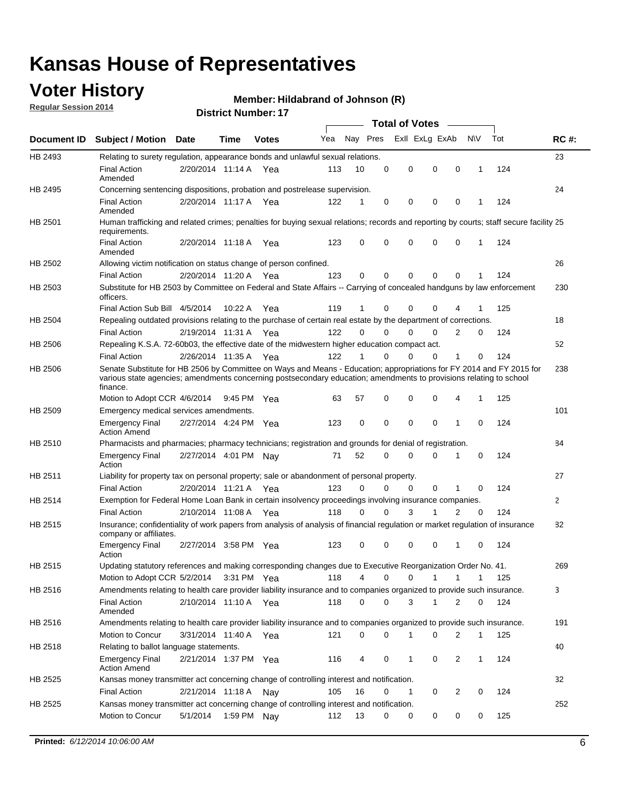## **Voter History**

**Regular Session 2014**

#### **Member: Hildabrand of Johnson (R)**

|                    |                                                                                                                                                                                                                                                        |                       |             |              |     |          |          | <b>Total of Votes</b> |              |                |              |     |              |
|--------------------|--------------------------------------------------------------------------------------------------------------------------------------------------------------------------------------------------------------------------------------------------------|-----------------------|-------------|--------------|-----|----------|----------|-----------------------|--------------|----------------|--------------|-----|--------------|
| <b>Document ID</b> | <b>Subject / Motion Date</b>                                                                                                                                                                                                                           |                       | Time        | <b>Votes</b> | Yea | Nay Pres |          | Exll ExLg ExAb        |              |                | N\V          | Tot | <b>RC#:</b>  |
| HB 2493            | Relating to surety regulation, appearance bonds and unlawful sexual relations.                                                                                                                                                                         |                       |             |              |     |          |          |                       |              |                |              |     | 23           |
|                    | <b>Final Action</b><br>Amended                                                                                                                                                                                                                         | 2/20/2014 11:14 A     |             | Yea          | 113 | 10       | 0        | 0                     | $\mathbf 0$  | 0              | $\mathbf 1$  | 124 |              |
| HB 2495            | Concerning sentencing dispositions, probation and postrelease supervision.                                                                                                                                                                             |                       |             |              |     |          |          |                       |              |                |              |     | 24           |
|                    | Final Action<br>Amended                                                                                                                                                                                                                                | 2/20/2014 11:17 A Yea |             |              | 122 | 1        | 0        | 0                     | 0            | $\mathbf 0$    | 1            | 124 |              |
| HB 2501            | Human trafficking and related crimes; penalties for buying sexual relations; records and reporting by courts; staff secure facility 25<br>requirements.                                                                                                |                       |             |              |     |          |          |                       |              |                |              |     |              |
|                    | <b>Final Action</b><br>Amended                                                                                                                                                                                                                         | 2/20/2014 11:18 A Yea |             |              | 123 | 0        | 0        | 0                     | 0            | $\mathbf 0$    | 1            | 124 |              |
| HB 2502            | Allowing victim notification on status change of person confined.                                                                                                                                                                                      |                       |             |              |     |          |          |                       |              |                |              |     | 26           |
|                    | <b>Final Action</b>                                                                                                                                                                                                                                    | 2/20/2014 11:20 A Yea |             |              | 123 | 0        | 0        | 0                     | $\Omega$     | $\Omega$       |              | 124 |              |
| HB 2503            | Substitute for HB 2503 by Committee on Federal and State Affairs -- Carrying of concealed handguns by law enforcement<br>officers.                                                                                                                     |                       |             |              |     |          |          |                       |              |                |              |     | 230          |
|                    | Final Action Sub Bill 4/5/2014                                                                                                                                                                                                                         |                       | 10:22 A     | Yea          | 119 |          | 0        | 0                     | 0            | 4              |              | 125 |              |
| HB 2504            | Repealing outdated provisions relating to the purchase of certain real estate by the department of corrections.                                                                                                                                        |                       |             |              |     |          |          |                       |              |                |              |     | 18           |
|                    | <b>Final Action</b>                                                                                                                                                                                                                                    | 2/19/2014 11:31 A Yea |             |              | 122 | 0        | 0        | 0                     | $\Omega$     | $\overline{2}$ | 0            | 124 |              |
| HB 2506            | Repealing K.S.A. 72-60b03, the effective date of the midwestern higher education compact act.                                                                                                                                                          |                       |             |              |     |          |          |                       |              |                |              |     | 52           |
|                    | <b>Final Action</b>                                                                                                                                                                                                                                    | 2/26/2014 11:35 A Yea |             |              | 122 |          | 0        | 0                     | 0            | 1              | 0            | 124 |              |
| HB 2506            | Senate Substitute for HB 2506 by Committee on Ways and Means - Education; appropriations for FY 2014 and FY 2015 for<br>various state agencies; amendments concerning postsecondary education; amendments to provisions relating to school<br>finance. |                       |             |              |     |          |          |                       |              |                |              |     | 238          |
|                    | Motion to Adopt CCR 4/6/2014                                                                                                                                                                                                                           |                       | 9:45 PM Yea |              | 63  | 57       | 0        | 0                     | 0            | 4              | 1            | 125 |              |
| HB 2509            | Emergency medical services amendments.                                                                                                                                                                                                                 |                       |             |              |     |          |          |                       |              |                |              |     | 101          |
|                    | <b>Emergency Final</b><br><b>Action Amend</b>                                                                                                                                                                                                          | 2/27/2014 4:24 PM Yea |             |              | 123 | 0        | 0        | 0                     | 0            | $\mathbf 1$    | 0            | 124 |              |
| HB 2510            | Pharmacists and pharmacies; pharmacy technicians; registration and grounds for denial of registration.                                                                                                                                                 |                       |             |              |     |          |          |                       |              |                |              |     | 84           |
|                    | <b>Emergency Final</b><br>Action                                                                                                                                                                                                                       | 2/27/2014 4:01 PM Nay |             |              | 71  | 52       | 0        | 0                     | 0            | 1              | 0            | 124 |              |
| HB 2511            | Liability for property tax on personal property; sale or abandonment of personal property.                                                                                                                                                             |                       |             |              |     |          |          |                       |              |                |              |     | 27           |
|                    | <b>Final Action</b>                                                                                                                                                                                                                                    | 2/20/2014 11:21 A     |             | Yea          | 123 | 0        | $\Omega$ | 0                     | 0            | 1              | 0            | 124 |              |
| HB 2514            | Exemption for Federal Home Loan Bank in certain insolvency proceedings involving insurance companies.                                                                                                                                                  |                       |             |              |     |          |          |                       |              |                |              |     | $\mathbf{2}$ |
|                    | <b>Final Action</b>                                                                                                                                                                                                                                    | 2/10/2014 11:08 A     |             | Yea          | 118 | 0        | 0        | 3                     | 1            | $\overline{2}$ | 0            | 124 |              |
| HB 2515            | Insurance; confidentiality of work papers from analysis of analysis of financial regulation or market regulation of insurance<br>company or affiliates.                                                                                                |                       |             |              |     |          |          |                       |              |                |              |     | 82           |
|                    | <b>Emergency Final</b><br>Action                                                                                                                                                                                                                       | 2/27/2014 3:58 PM Yea |             |              | 123 | 0        | 0        | 0                     | 0            | -1             | 0            | 124 |              |
| HB 2515            | Updating statutory references and making corresponding changes due to Executive Reorganization Order No. 41.                                                                                                                                           |                       |             |              |     |          |          |                       |              |                |              |     | 269          |
|                    | Motion to Adopt CCR 5/2/2014 3:31 PM Yea                                                                                                                                                                                                               |                       |             |              | 118 | 4        | 0        | 0                     | $\mathbf{1}$ | $\mathbf{1}$   | $\mathbf{1}$ | 125 |              |
| HB 2516            | Amendments relating to health care provider liability insurance and to companies organized to provide such insurance.                                                                                                                                  |                       |             |              |     |          |          |                       |              |                |              |     | 3            |
|                    | <b>Final Action</b><br>Amended                                                                                                                                                                                                                         | 2/10/2014 11:10 A Yea |             |              | 118 | 0        | 0        | 3                     | $\mathbf{1}$ | 2              | 0            | 124 |              |
| HB 2516            | Amendments relating to health care provider liability insurance and to companies organized to provide such insurance.                                                                                                                                  |                       |             |              |     |          |          |                       |              |                |              |     | 191          |
|                    | Motion to Concur                                                                                                                                                                                                                                       | 3/31/2014 11:40 A Yea |             |              | 121 | 0        | 0        | 1                     | 0            | 2              | $\mathbf{1}$ | 125 |              |
| HB 2518            | Relating to ballot language statements.                                                                                                                                                                                                                |                       |             |              |     |          |          |                       |              |                |              |     | 40           |
|                    | <b>Emergency Final</b><br><b>Action Amend</b>                                                                                                                                                                                                          | 2/21/2014 1:37 PM Yea |             |              | 116 | 4        | 0        | 1                     | 0            | 2              | $\mathbf{1}$ | 124 |              |
| HB 2525            | Kansas money transmitter act concerning change of controlling interest and notification.                                                                                                                                                               |                       |             |              |     |          |          |                       |              |                |              |     | 32           |
|                    | <b>Final Action</b>                                                                                                                                                                                                                                    | 2/21/2014 11:18 A Nay |             |              | 105 | 16       | 0        | 1                     | 0            | 2              | 0            | 124 |              |
| HB 2525            | Kansas money transmitter act concerning change of controlling interest and notification.                                                                                                                                                               |                       |             |              |     |          |          |                       |              |                |              |     | 252          |
|                    | Motion to Concur                                                                                                                                                                                                                                       | 5/1/2014              |             | 1:59 PM Nay  | 112 | 13       | 0        | 0                     | 0            | 0              | 0            | 125 |              |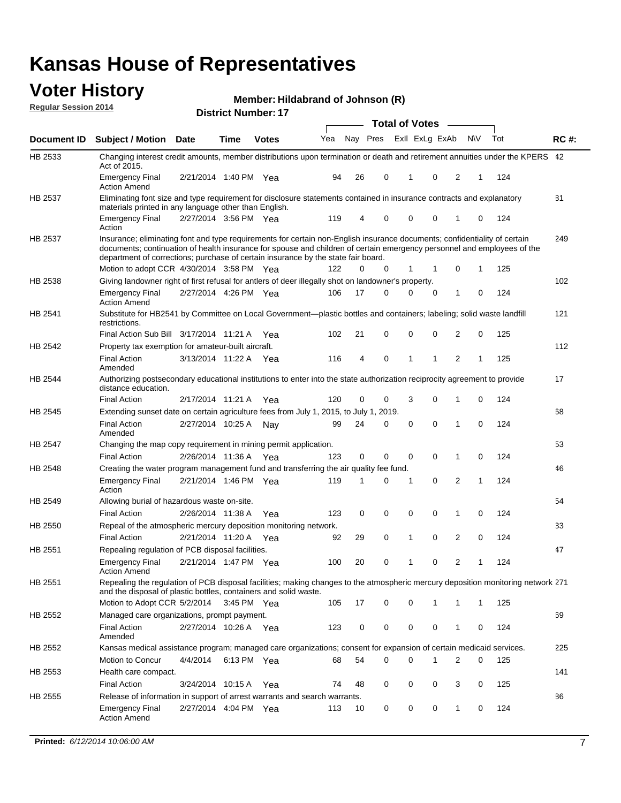#### **Voter History Regular Session 2014**

**Member: Hildabrand of Johnson (R)** 

|                    |                                                                                                                                                                                                                                                                                                                                           |                       |             |              |     |    |          | <b>Total of Votes</b> |          |                |              |     |             |
|--------------------|-------------------------------------------------------------------------------------------------------------------------------------------------------------------------------------------------------------------------------------------------------------------------------------------------------------------------------------------|-----------------------|-------------|--------------|-----|----|----------|-----------------------|----------|----------------|--------------|-----|-------------|
| Document <b>ID</b> | <b>Subject / Motion Date</b>                                                                                                                                                                                                                                                                                                              |                       | <b>Time</b> | <b>Votes</b> | Yea |    | Nay Pres | Exll ExLg ExAb        |          |                | <b>NV</b>    | Tot | <b>RC#:</b> |
| HB 2533            | Changing interest credit amounts, member distributions upon termination or death and retirement annuities under the KPERS 42<br>Act of 2015.                                                                                                                                                                                              |                       |             |              |     |    |          |                       |          |                |              |     |             |
|                    | <b>Emergency Final</b><br><b>Action Amend</b>                                                                                                                                                                                                                                                                                             | 2/21/2014 1:40 PM Yea |             |              | 94  | 26 | 0        | 1                     | 0        | 2              | 1            | 124 |             |
| HB 2537            | Eliminating font size and type requirement for disclosure statements contained in insurance contracts and explanatory                                                                                                                                                                                                                     |                       |             |              |     |    |          |                       |          |                |              |     | 81          |
|                    | materials printed in any language other than English.<br><b>Emergency Final</b>                                                                                                                                                                                                                                                           | 2/27/2014 3:56 PM Yea |             |              | 119 | 4  | 0        | $\mathbf 0$           | 0        | 1              | 0            | 124 |             |
|                    | Action                                                                                                                                                                                                                                                                                                                                    |                       |             |              |     |    |          |                       |          |                |              |     |             |
| HB 2537            | Insurance; eliminating font and type requirements for certain non-English insurance documents; confidentiality of certain<br>documents; continuation of health insurance for spouse and children of certain emergency personnel and employees of the<br>department of corrections; purchase of certain insurance by the state fair board. |                       |             |              |     |    |          |                       |          |                |              |     | 249         |
|                    | Motion to adopt CCR 4/30/2014 3:58 PM Yea                                                                                                                                                                                                                                                                                                 |                       |             |              | 122 | 0  | 0        | 1                     | 1        | 0              | 1            | 125 |             |
| HB 2538            | Giving landowner right of first refusal for antlers of deer illegally shot on landowner's property.                                                                                                                                                                                                                                       |                       |             |              |     | 17 | 0        | 0                     |          | 1              |              |     | 102         |
|                    | <b>Emergency Final</b><br><b>Action Amend</b>                                                                                                                                                                                                                                                                                             | 2/27/2014 4:26 PM Yea |             |              | 106 |    |          |                       | 0        |                | 0            | 124 |             |
| HB 2541            | Substitute for HB2541 by Committee on Local Government—plastic bottles and containers; labeling; solid waste landfill<br>restrictions.                                                                                                                                                                                                    |                       |             |              |     |    |          |                       |          |                |              |     | 121         |
|                    | Final Action Sub Bill 3/17/2014 11:21 A Yea                                                                                                                                                                                                                                                                                               |                       |             |              | 102 | 21 | 0        | $\mathbf 0$           | 0        | $\overline{2}$ | 0            | 125 |             |
| HB 2542            | Property tax exemption for amateur-built aircraft.                                                                                                                                                                                                                                                                                        |                       |             |              |     |    |          |                       |          |                |              |     | 112         |
|                    | <b>Final Action</b><br>Amended                                                                                                                                                                                                                                                                                                            | 3/13/2014 11:22 A Yea |             |              | 116 | 4  | 0        | 1                     | 1        | 2              | 1            | 125 |             |
| HB 2544            | Authorizing postsecondary educational institutions to enter into the state authorization reciprocity agreement to provide<br>distance education.                                                                                                                                                                                          |                       |             |              |     |    |          |                       |          |                |              |     | 17          |
|                    | <b>Final Action</b>                                                                                                                                                                                                                                                                                                                       | 2/17/2014 11:21 A Yea |             |              | 120 | 0  | 0        | 3                     | 0        | 1              | 0            | 124 |             |
| HB 2545            | Extending sunset date on certain agriculture fees from July 1, 2015, to July 1, 2019.                                                                                                                                                                                                                                                     |                       |             |              |     |    |          |                       |          |                |              |     | 68          |
|                    | <b>Final Action</b><br>Amended                                                                                                                                                                                                                                                                                                            | 2/27/2014 10:25 A Nay |             |              | 99  | 24 | 0        | 0                     | $\Omega$ | 1              | 0            | 124 |             |
| HB 2547            | Changing the map copy requirement in mining permit application.                                                                                                                                                                                                                                                                           |                       |             |              |     |    |          |                       |          |                |              |     | 53          |
|                    | <b>Final Action</b>                                                                                                                                                                                                                                                                                                                       | 2/26/2014 11:36 A     |             | Yea          | 123 | 0  | 0        | 0                     | 0        | 1              | 0            | 124 |             |
| HB 2548            | Creating the water program management fund and transferring the air quality fee fund.                                                                                                                                                                                                                                                     |                       |             |              |     |    |          |                       |          |                |              |     | 46          |
|                    | <b>Emergency Final</b><br>Action                                                                                                                                                                                                                                                                                                          | 2/21/2014 1:46 PM Yea |             |              | 119 | 1  | 0        | 1                     | 0        | $\overline{2}$ | 1            | 124 |             |
| HB 2549            | Allowing burial of hazardous waste on-site.                                                                                                                                                                                                                                                                                               |                       |             |              |     |    |          |                       |          |                |              |     | 54          |
|                    | <b>Final Action</b>                                                                                                                                                                                                                                                                                                                       | 2/26/2014 11:38 A     |             | Yea          | 123 | 0  | 0        | 0                     | 0        | 1              | 0            | 124 |             |
| HB 2550            | Repeal of the atmospheric mercury deposition monitoring network.                                                                                                                                                                                                                                                                          |                       |             |              |     |    |          |                       |          |                |              |     | 33          |
|                    | <b>Final Action</b>                                                                                                                                                                                                                                                                                                                       | 2/21/2014 11:20 A     |             | Yea          | 92  | 29 | 0        | 1                     | 0        | 2              | 0            | 124 |             |
| HB 2551            | Repealing regulation of PCB disposal facilities.                                                                                                                                                                                                                                                                                          |                       |             |              |     |    |          |                       |          |                |              |     | 47          |
|                    | <b>Emergency Final</b><br>Action Amend                                                                                                                                                                                                                                                                                                    | 2/21/2014 1:47 PM Yea |             |              | 100 | 20 | 0        | 1                     | 0        | 2              | 1            | 124 |             |
| HB 2551            | Repealing the regulation of PCB disposal facilities; making changes to the atmospheric mercury deposition monitoring network 271<br>and the disposal of plastic bottles, containers and solid waste.                                                                                                                                      |                       |             |              |     |    |          |                       |          |                |              |     |             |
|                    | Motion to Adopt CCR 5/2/2014                                                                                                                                                                                                                                                                                                              |                       | 3:45 PM Yea |              | 105 | 17 | 0        | $\mathbf 0$           | 1        | 1              | $\mathbf{1}$ | 125 |             |
| HB 2552            | Managed care organizations, prompt payment.                                                                                                                                                                                                                                                                                               |                       |             |              |     |    |          |                       |          |                |              |     | 69          |
|                    | <b>Final Action</b><br>Amended                                                                                                                                                                                                                                                                                                            | 2/27/2014 10:26 A Yea |             |              | 123 | 0  | 0        | 0                     | 0        | 1              | 0            | 124 |             |
| HB 2552            | Kansas medical assistance program; managed care organizations; consent for expansion of certain medicaid services.                                                                                                                                                                                                                        |                       |             |              |     |    |          |                       |          |                |              |     | 225         |
|                    | Motion to Concur                                                                                                                                                                                                                                                                                                                          | 4/4/2014              | 6:13 PM Yea |              | 68  | 54 | 0        | $\mathbf 0$           | 1        | $\overline{2}$ | 0            | 125 |             |
| HB 2553            | Health care compact.                                                                                                                                                                                                                                                                                                                      |                       |             |              |     |    |          |                       |          |                |              |     | 141         |
|                    | <b>Final Action</b>                                                                                                                                                                                                                                                                                                                       | 3/24/2014 10:15 A     |             | Yea          | 74  | 48 | 0        | 0                     | 0        | 3              | 0            | 125 |             |
| HB 2555            | Release of information in support of arrest warrants and search warrants.                                                                                                                                                                                                                                                                 |                       |             |              |     |    |          |                       |          |                |              |     | 86          |
|                    | <b>Emergency Final</b><br><b>Action Amend</b>                                                                                                                                                                                                                                                                                             | 2/27/2014 4:04 PM Yea |             |              | 113 | 10 | 0        | 0                     | 0        | $\mathbf{1}$   | 0            | 124 |             |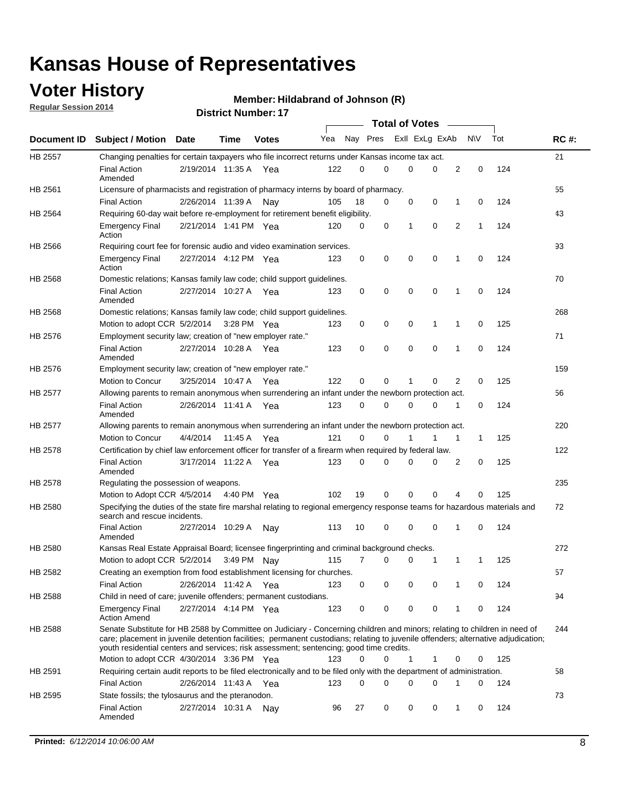## **Voter History**

**Regular Session 2014**

#### **Member: Hildabrand of Johnson (R)**

|                |                                                                                                                                                                                                                                                                                                                                                           |                       |         |              |     |          |   | <b>Total of Votes</b> |             |             |             |     |             |
|----------------|-----------------------------------------------------------------------------------------------------------------------------------------------------------------------------------------------------------------------------------------------------------------------------------------------------------------------------------------------------------|-----------------------|---------|--------------|-----|----------|---|-----------------------|-------------|-------------|-------------|-----|-------------|
|                | Document ID Subject / Motion Date                                                                                                                                                                                                                                                                                                                         |                       | Time    | <b>Votes</b> | Yea | Nay Pres |   | Exll ExLg ExAb        |             |             | <b>NV</b>   | Tot | <b>RC#:</b> |
| <b>HB 2557</b> | Changing penalties for certain taxpayers who file incorrect returns under Kansas income tax act.                                                                                                                                                                                                                                                          |                       |         |              |     |          |   |                       |             |             |             |     | 21          |
|                | <b>Final Action</b><br>Amended                                                                                                                                                                                                                                                                                                                            | 2/19/2014 11:35 A     |         | Yea          | 122 | 0        | 0 | 0                     | 0           | 2           | $\mathbf 0$ | 124 |             |
| HB 2561        | Licensure of pharmacists and registration of pharmacy interns by board of pharmacy.                                                                                                                                                                                                                                                                       |                       |         |              |     |          |   |                       |             |             |             |     | 55          |
|                | <b>Final Action</b>                                                                                                                                                                                                                                                                                                                                       | 2/26/2014 11:39 A     |         | Nav          | 105 | 18       | 0 | 0                     | 0           | 1           | 0           | 124 |             |
| HB 2564        | Requiring 60-day wait before re-employment for retirement benefit eligibility.                                                                                                                                                                                                                                                                            |                       |         |              |     |          |   |                       |             |             |             |     | 43          |
|                | <b>Emergency Final</b><br>Action                                                                                                                                                                                                                                                                                                                          | 2/21/2014 1:41 PM Yea |         |              | 120 | 0        | 0 | 1                     | 0           | 2           | 1           | 124 |             |
| HB 2566        | Requiring court fee for forensic audio and video examination services.                                                                                                                                                                                                                                                                                    |                       |         |              |     |          |   |                       |             |             |             |     | 93          |
|                | <b>Emergency Final</b><br>Action                                                                                                                                                                                                                                                                                                                          | 2/27/2014 4:12 PM Yea |         |              | 123 | 0        | 0 | 0                     | $\mathbf 0$ | $\mathbf 1$ | 0           | 124 |             |
| HB 2568        | Domestic relations; Kansas family law code; child support guidelines.                                                                                                                                                                                                                                                                                     |                       |         |              |     |          |   |                       |             |             |             |     | 70          |
|                | <b>Final Action</b><br>Amended                                                                                                                                                                                                                                                                                                                            | 2/27/2014 10:27 A     |         | Yea          | 123 | 0        | 0 | 0                     | $\mathbf 0$ | 1           | 0           | 124 |             |
| HB 2568        | Domestic relations; Kansas family law code; child support guidelines.                                                                                                                                                                                                                                                                                     |                       |         |              |     |          |   |                       |             |             |             |     | 268         |
|                | Motion to adopt CCR 5/2/2014                                                                                                                                                                                                                                                                                                                              |                       |         | 3:28 PM Yea  | 123 | 0        | 0 | 0                     | 1           | 1           | $\mathbf 0$ | 125 |             |
| HB 2576        | Employment security law; creation of "new employer rate."                                                                                                                                                                                                                                                                                                 |                       |         |              |     |          |   |                       |             |             |             |     | 71          |
|                | <b>Final Action</b><br>Amended                                                                                                                                                                                                                                                                                                                            | 2/27/2014 10:28 A Yea |         |              | 123 | 0        | 0 | 0                     | 0           | 1           | 0           | 124 |             |
| HB 2576        | Employment security law; creation of "new employer rate."                                                                                                                                                                                                                                                                                                 |                       |         |              |     |          |   |                       |             |             |             |     | 159         |
|                | Motion to Concur                                                                                                                                                                                                                                                                                                                                          | 3/25/2014 10:47 A     |         | Yea          | 122 | 0        | 0 | 1                     | 0           | 2           | 0           | 125 |             |
| HB 2577        | Allowing parents to remain anonymous when surrendering an infant under the newborn protection act.                                                                                                                                                                                                                                                        |                       |         |              |     |          |   |                       |             |             |             |     | 56          |
|                | <b>Final Action</b><br>Amended                                                                                                                                                                                                                                                                                                                            | 2/26/2014 11:41 A Yea |         |              | 123 | $\Omega$ | 0 | 0                     | $\Omega$    | 1           | 0           | 124 |             |
| HB 2577        | Allowing parents to remain anonymous when surrendering an infant under the newborn protection act.                                                                                                                                                                                                                                                        |                       |         |              |     |          |   |                       |             |             |             |     | 220         |
|                | Motion to Concur                                                                                                                                                                                                                                                                                                                                          | 4/4/2014              | 11:45 A | Yea          | 121 | $\Omega$ | 0 | 1                     | 1           | 1           | 1           | 125 |             |
| HB 2578        | Certification by chief law enforcement officer for transfer of a firearm when required by federal law.                                                                                                                                                                                                                                                    |                       |         |              |     |          |   |                       |             |             |             |     | 122         |
|                | <b>Final Action</b><br>Amended                                                                                                                                                                                                                                                                                                                            | 3/17/2014 11:22 A     |         | Yea          | 123 | 0        | 0 | 0                     | 0           | 2           | 0           | 125 |             |
| HB 2578        | Regulating the possession of weapons.                                                                                                                                                                                                                                                                                                                     |                       |         |              |     |          |   |                       |             |             |             |     | 235         |
|                | Motion to Adopt CCR 4/5/2014 4:40 PM Yea                                                                                                                                                                                                                                                                                                                  |                       |         |              | 102 | 19       | 0 | 0                     | 0           | 4           | 0           | 125 |             |
| HB 2580        | Specifying the duties of the state fire marshal relating to regional emergency response teams for hazardous materials and<br>search and rescue incidents.                                                                                                                                                                                                 |                       |         |              |     |          |   |                       |             |             |             |     | 72          |
|                | <b>Final Action</b><br>Amended                                                                                                                                                                                                                                                                                                                            | 2/27/2014 10:29 A     |         | Nav          | 113 | 10       | 0 | 0                     | $\mathbf 0$ | 1           | 0           | 124 |             |
| HB 2580        | Kansas Real Estate Appraisal Board; licensee fingerprinting and criminal background checks.                                                                                                                                                                                                                                                               |                       |         |              |     |          |   |                       |             |             |             |     | 272         |
|                | Motion to adopt CCR 5/2/2014                                                                                                                                                                                                                                                                                                                              |                       |         | 3:49 PM Nay  | 115 | 7        | 0 | 0                     | 1           | 1           | 1           | 125 |             |
| HB 2582        | Creating an exemption from food establishment licensing for churches.                                                                                                                                                                                                                                                                                     |                       |         |              |     |          |   |                       |             |             |             |     | 57          |
|                | <b>Final Action</b>                                                                                                                                                                                                                                                                                                                                       | 2/26/2014 11:42 A Yea |         |              | 123 | 0        | 0 | 0                     | 0           |             | 0           | 124 |             |
| HB 2588        | Child in need of care; juvenile offenders; permanent custodians.                                                                                                                                                                                                                                                                                          |                       |         |              |     |          |   |                       |             |             |             |     | 94          |
|                | <b>Emergency Final</b><br><b>Action Amend</b>                                                                                                                                                                                                                                                                                                             | 2/27/2014 4:14 PM Yea |         |              | 123 | 0        | 0 | 0                     | 0           | 1           | 0           | 124 |             |
| HB 2588        | Senate Substitute for HB 2588 by Committee on Judiciary - Concerning children and minors; relating to children in need of<br>care; placement in juvenile detention facilities; permanent custodians; relating to juvenile offenders; alternative adjudication;<br>youth residential centers and services; risk assessment; sentencing; good time credits. |                       |         |              |     |          |   |                       |             |             |             |     | 244         |
|                | Motion to adopt CCR 4/30/2014 3:36 PM Yea                                                                                                                                                                                                                                                                                                                 |                       |         |              | 123 | 0        | 0 | 1                     | 1           | 0           | 0           | 125 |             |
| HB 2591        | Requiring certain audit reports to be filed electronically and to be filed only with the department of administration.                                                                                                                                                                                                                                    |                       |         |              |     |          |   |                       |             |             |             |     | 58          |
|                | <b>Final Action</b>                                                                                                                                                                                                                                                                                                                                       | 2/26/2014 11:43 A Yea |         |              | 123 | 0        | 0 | 0                     | 0           | 1           | 0           | 124 |             |
| HB 2595        | State fossils; the tylosaurus and the pteranodon.                                                                                                                                                                                                                                                                                                         |                       |         |              |     |          |   |                       |             |             |             |     | 73          |
|                | <b>Final Action</b><br>Amended                                                                                                                                                                                                                                                                                                                            | 2/27/2014 10:31 A Nay |         |              | 96  | 27       | 0 | 0                     | 0           | 1           | 0           | 124 |             |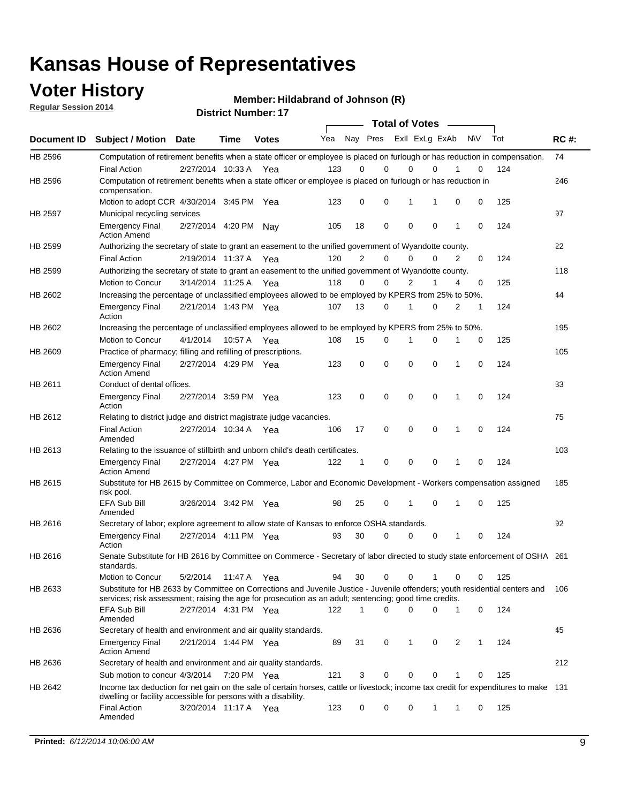## **Voter History**

**Regular Session 2014**

**Member: Hildabrand of Johnson (R)** 

| <b>District Number: 17</b> |  |
|----------------------------|--|
|                            |  |

|             |                                                                                                                                                                                                                                       |                       |             |              |     |             | <b>Total of Votes</b>   |             |             |              |           |     |             |
|-------------|---------------------------------------------------------------------------------------------------------------------------------------------------------------------------------------------------------------------------------------|-----------------------|-------------|--------------|-----|-------------|-------------------------|-------------|-------------|--------------|-----------|-----|-------------|
| Document ID | <b>Subject / Motion Date</b>                                                                                                                                                                                                          |                       | <b>Time</b> | <b>Votes</b> | Yea |             | Nay Pres ExII ExLg ExAb |             |             |              | <b>NV</b> | Tot | <b>RC#:</b> |
| HB 2596     | Computation of retirement benefits when a state officer or employee is placed on furlough or has reduction in compensation.                                                                                                           |                       |             |              |     |             |                         |             |             |              |           |     | 74          |
| HB 2596     | <b>Final Action</b><br>Computation of retirement benefits when a state officer or employee is placed on furlough or has reduction in                                                                                                  | 2/27/2014 10:33 A     |             | Yea          | 123 | 0           | 0                       | $\mathbf 0$ | $\Omega$    |              | 0         | 124 | 246         |
|             | compensation.<br>Motion to adopt CCR 4/30/2014 3:45 PM Yea                                                                                                                                                                            |                       |             |              | 123 | 0           | 0                       | 1           | 1           | 0            | 0         | 125 |             |
| HB 2597     | Municipal recycling services                                                                                                                                                                                                          |                       |             |              |     |             |                         |             |             |              |           |     | 97          |
|             | <b>Emergency Final</b><br><b>Action Amend</b>                                                                                                                                                                                         | 2/27/2014 4:20 PM Nay |             |              | 105 | 18          | 0                       | $\mathbf 0$ | 0           | $\mathbf{1}$ | 0         | 124 |             |
| HB 2599     | Authorizing the secretary of state to grant an easement to the unified government of Wyandotte county.                                                                                                                                |                       |             |              |     |             |                         |             |             |              |           |     | 22          |
|             | <b>Final Action</b>                                                                                                                                                                                                                   | 2/19/2014 11:37 A     |             | Yea          | 120 | 2           | 0                       | 0           | $\mathbf 0$ | 2            | 0         | 124 |             |
| HB 2599     | Authorizing the secretary of state to grant an easement to the unified government of Wyandotte county.                                                                                                                                |                       |             |              |     |             |                         |             |             |              |           |     | 118         |
|             | Motion to Concur                                                                                                                                                                                                                      | 3/14/2014 11:25 A     |             | Yea          | 118 | 0           | 0                       | 2           | 1           | 4            | 0         | 125 |             |
| HB 2602     | Increasing the percentage of unclassified employees allowed to be employed by KPERS from 25% to 50%.                                                                                                                                  |                       |             |              |     |             |                         |             |             |              |           |     | 44          |
|             | <b>Emergency Final</b><br>Action                                                                                                                                                                                                      | 2/21/2014 1:43 PM Yea |             |              | 107 | 13          | 0                       | 1           | 0           | 2            | 1         | 124 |             |
| HB 2602     | Increasing the percentage of unclassified employees allowed to be employed by KPERS from 25% to 50%.                                                                                                                                  |                       |             |              |     |             |                         |             |             |              |           |     | 195         |
|             | Motion to Concur                                                                                                                                                                                                                      | 4/1/2014              | 10:57 A     | Yea          | 108 | 15          | 0                       | 1           | $\mathbf 0$ | 1            | 0         | 125 |             |
| HB 2609     | Practice of pharmacy; filling and refilling of prescriptions.                                                                                                                                                                         |                       |             |              |     |             |                         |             |             |              |           |     | 105         |
|             | <b>Emergency Final</b><br><b>Action Amend</b>                                                                                                                                                                                         | 2/27/2014 4:29 PM Yea |             |              | 123 | $\mathbf 0$ | $\mathbf 0$             | $\mathbf 0$ | $\mathbf 0$ | 1            | $\Omega$  | 124 |             |
| HB 2611     | Conduct of dental offices.                                                                                                                                                                                                            |                       |             |              |     |             |                         |             |             |              |           |     | 83          |
|             | <b>Emergency Final</b><br>Action                                                                                                                                                                                                      | 2/27/2014 3:59 PM Yea |             |              | 123 | 0           | 0                       | $\mathbf 0$ | $\mathbf 0$ | 1            | 0         | 124 |             |
| HB 2612     | Relating to district judge and district magistrate judge vacancies.                                                                                                                                                                   |                       |             |              |     |             |                         |             |             |              |           |     | 75          |
|             | <b>Final Action</b><br>Amended                                                                                                                                                                                                        | 2/27/2014 10:34 A     |             | Yea          | 106 | 17          | 0                       | $\mathbf 0$ | $\mathbf 0$ | 1            | 0         | 124 |             |
| HB 2613     | Relating to the issuance of stillbirth and unborn child's death certificates.                                                                                                                                                         |                       |             |              |     |             |                         |             |             |              |           |     | 103         |
|             | <b>Emergency Final</b><br><b>Action Amend</b>                                                                                                                                                                                         | 2/27/2014 4:27 PM Yea |             |              | 122 | $\mathbf 1$ | $\mathbf 0$             | $\mathbf 0$ | 0           | 1            | 0         | 124 |             |
| HB 2615     | Substitute for HB 2615 by Committee on Commerce, Labor and Economic Development - Workers compensation assigned<br>risk pool.                                                                                                         |                       |             |              |     |             |                         |             |             |              |           |     | 185         |
|             | EFA Sub Bill<br>Amended                                                                                                                                                                                                               | 3/26/2014 3:42 PM Yea |             |              | 98  | 25          | 0                       | 1           | 0           | 1            | 0         | 125 |             |
| HB 2616     | Secretary of labor; explore agreement to allow state of Kansas to enforce OSHA standards.                                                                                                                                             |                       |             |              |     |             |                         |             |             |              |           |     | 92          |
|             | <b>Emergency Final</b><br>Action                                                                                                                                                                                                      | 2/27/2014 4:11 PM Yea |             |              | 93  | 30          | $\Omega$                | $\mathbf 0$ | 0           | 1            | 0         | 124 |             |
| HB 2616     | Senate Substitute for HB 2616 by Committee on Commerce - Secretary of labor directed to study state enforcement of OSHA 261<br>standards.                                                                                             |                       |             |              |     |             |                         |             |             |              |           |     |             |
|             | Motion to Concur                                                                                                                                                                                                                      | 5/2/2014 11:47 A      |             | Yea          | 94  | 30          | 0                       | $\mathbf 0$ | 1           | 0            | 0         | 125 |             |
| HB 2633     | Substitute for HB 2633 by Committee on Corrections and Juvenile Justice - Juvenile offenders; youth residential centers and<br>services; risk assessment; raising the age for prosecution as an adult; sentencing; good time credits. |                       |             |              |     |             |                         |             |             |              |           |     | - 106       |
|             | EFA Sub Bill<br>Amended                                                                                                                                                                                                               | 2/27/2014 4:31 PM Yea |             |              | 122 | 1           | 0                       | 0           | 0           | 1            | 0         | 124 |             |
| HB 2636     | Secretary of health and environment and air quality standards.                                                                                                                                                                        |                       |             |              |     |             |                         |             |             |              |           |     | 45          |
|             | <b>Emergency Final</b><br><b>Action Amend</b>                                                                                                                                                                                         | 2/21/2014 1:44 PM Yea |             |              | 89  | 31          | 0                       | 1           | 0           | 2            |           | 124 |             |
| HB 2636     | Secretary of health and environment and air quality standards.                                                                                                                                                                        |                       |             |              |     |             |                         |             |             |              |           |     | 212         |
|             | Sub motion to concur 4/3/2014                                                                                                                                                                                                         |                       | 7:20 PM Yea |              | 121 | 3           | 0                       | 0           | 0           | 1            | 0         | 125 |             |
| HB 2642     | Income tax deduction for net gain on the sale of certain horses, cattle or livestock; income tax credit for expenditures to make 131<br>dwelling or facility accessible for persons with a disability.                                |                       |             |              |     |             |                         |             |             |              |           |     |             |
|             | <b>Final Action</b><br>Amended                                                                                                                                                                                                        | 3/20/2014 11:17 A Yea |             |              | 123 | 0           | 0                       | 0           | 1           | 1            | 0         | 125 |             |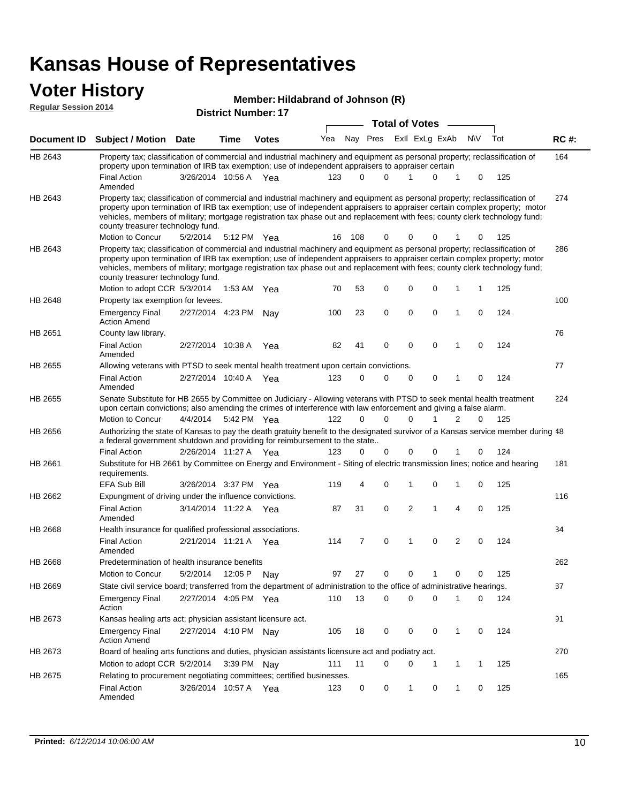| <b>Voter History</b><br>Member: Hildabrand of Johnson (R)<br><b>Regular Session 2014</b> |                                                                                                                                                                                                                                                                                                                                                                                                                               |                         |             |                            |     |                       |             |                         |          |                                     |           |           |             |  |
|------------------------------------------------------------------------------------------|-------------------------------------------------------------------------------------------------------------------------------------------------------------------------------------------------------------------------------------------------------------------------------------------------------------------------------------------------------------------------------------------------------------------------------|-------------------------|-------------|----------------------------|-----|-----------------------|-------------|-------------------------|----------|-------------------------------------|-----------|-----------|-------------|--|
|                                                                                          |                                                                                                                                                                                                                                                                                                                                                                                                                               |                         |             | <b>District Number: 17</b> |     | <b>Total of Votes</b> |             |                         |          |                                     |           |           |             |  |
| Document ID                                                                              | <b>Subject / Motion</b>                                                                                                                                                                                                                                                                                                                                                                                                       | <b>Date</b>             | Time        | <b>Votes</b>               | Yea |                       |             | Nay Pres ExII ExLg ExAb |          |                                     | <b>NV</b> | Tot       | <b>RC#:</b> |  |
| HB 2643                                                                                  | Property tax; classification of commercial and industrial machinery and equipment as personal property; reclassification of<br>property upon termination of IRB tax exemption; use of independent appraisers to appraiser certain                                                                                                                                                                                             |                         |             |                            |     |                       |             |                         |          |                                     |           |           | 164         |  |
|                                                                                          | <b>Final Action</b><br>Amended                                                                                                                                                                                                                                                                                                                                                                                                | 3/26/2014 10:56 A Yea   |             |                            | 123 | 0                     | $\Omega$    |                         | 0        |                                     | $\Omega$  | 125       |             |  |
| HB 2643                                                                                  | Property tax; classification of commercial and industrial machinery and equipment as personal property; reclassification of<br>property upon termination of IRB tax exemption; use of independent appraisers to appraiser certain complex property; motor<br>vehicles, members of military; mortgage registration tax phase out and replacement with fees; county clerk technology fund;<br>county treasurer technology fund. |                         |             |                            |     |                       |             |                         |          |                                     |           |           | 274         |  |
|                                                                                          | Motion to Concur                                                                                                                                                                                                                                                                                                                                                                                                              | 5/2/2014                | 5:12 PM Yea |                            | 16  | 108                   | $\Omega$    | 0                       | 0        |                                     | 0         | 125       |             |  |
| HB 2643                                                                                  | Property tax; classification of commercial and industrial machinery and equipment as personal property; reclassification of<br>property upon termination of IRB tax exemption; use of independent appraisers to appraiser certain complex property; motor<br>vehicles, members of military; mortgage registration tax phase out and replacement with fees; county clerk technology fund;<br>county treasurer technology fund. |                         |             |                            |     |                       |             |                         |          |                                     |           |           | 286         |  |
|                                                                                          | Motion to adopt CCR 5/3/2014                                                                                                                                                                                                                                                                                                                                                                                                  |                         | 1:53 AM Yea |                            | 70  | 53                    | $\Omega$    | $\Omega$                | $\Omega$ |                                     |           | 125       |             |  |
| HB 2648                                                                                  | Property tax exemption for levees.                                                                                                                                                                                                                                                                                                                                                                                            |                         |             |                            |     |                       |             |                         |          |                                     |           |           | 100         |  |
|                                                                                          | <b>Emergency Final</b><br><b>Action Amend</b>                                                                                                                                                                                                                                                                                                                                                                                 | 2/27/2014 4:23 PM       |             | Nav                        | 100 | 23                    | $\mathbf 0$ | 0                       | $\Omega$ |                                     | $\Omega$  | 124       |             |  |
| HB 2651                                                                                  | County law library.                                                                                                                                                                                                                                                                                                                                                                                                           |                         |             |                            |     |                       |             |                         |          |                                     |           |           | 76          |  |
|                                                                                          | Final Action                                                                                                                                                                                                                                                                                                                                                                                                                  | $2/27/2014$ 10:38 A Yea |             |                            | 82. | 41                    | $\Omega$    | - 0                     |          | $\begin{matrix} 0 & 1 \end{matrix}$ |           | $0 \t124$ |             |  |

|                | Action Amend                                                                                                                                                                                                                               |                       |             |     |     |          |          |          |          |                |          |     |                 |
|----------------|--------------------------------------------------------------------------------------------------------------------------------------------------------------------------------------------------------------------------------------------|-----------------------|-------------|-----|-----|----------|----------|----------|----------|----------------|----------|-----|-----------------|
| HB 2651        | County law library.                                                                                                                                                                                                                        |                       |             |     |     |          |          |          |          |                |          |     | 76              |
|                | Final Action<br>Amended                                                                                                                                                                                                                    | 2/27/2014 10:38 A     |             | Yea | 82  | 41       | $\Omega$ | $\Omega$ | $\Omega$ | 1              | $\Omega$ | 124 |                 |
| HB 2655        | Allowing veterans with PTSD to seek mental health treatment upon certain convictions.                                                                                                                                                      |                       |             |     |     |          |          |          |          |                |          |     | 77              |
|                | <b>Final Action</b><br>Amended                                                                                                                                                                                                             | 2/27/2014 10:40 A     |             | Yea | 123 | $\Omega$ | $\Omega$ | 0        | $\Omega$ |                | 0        | 124 |                 |
| HB 2655        | Senate Substitute for HB 2655 by Committee on Judiciary - Allowing veterans with PTSD to seek mental health treatment<br>upon certain convictions; also amending the crimes of interference with law enforcement and giving a false alarm. |                       |             |     |     |          |          |          |          |                |          |     | 22 <sub>0</sub> |
|                | Motion to Concur                                                                                                                                                                                                                           | 4/4/2014              | 5:42 PM Yea |     | 122 | 0        | $\Omega$ | 0        |          | 2              | 0        | 125 |                 |
| HB 2656        | Authorizing the state of Kansas to pay the death gratuity benefit to the designated survivor of a Kansas service member during 48<br>a federal government shutdown and providing for reimbursement to the state                            |                       |             |     |     |          |          |          |          |                |          |     |                 |
|                | <b>Final Action</b>                                                                                                                                                                                                                        | 2/26/2014 11:27 A Yea |             |     | 123 | $\Omega$ | $\Omega$ | 0        | $\Omega$ |                | 0        | 124 |                 |
| HB 2661        | Substitute for HB 2661 by Committee on Energy and Environment - Siting of electric transmission lines; notice and hearing<br>requirements.                                                                                                 |                       |             |     |     |          |          |          |          |                |          |     | 18              |
|                | <b>EFA Sub Bill</b>                                                                                                                                                                                                                        | 3/26/2014 3:37 PM Yea |             |     | 119 | 4        | 0        |          | 0        |                | 0        | 125 |                 |
| HB 2662        | Expungment of driving under the influence convictions.                                                                                                                                                                                     |                       |             |     |     |          |          |          |          |                |          |     | 11              |
|                | Final Action<br>Amended                                                                                                                                                                                                                    | 3/14/2014 11:22 A     |             | Yea | 87  | 31       | $\Omega$ | 2        | 1        | 4              | $\Omega$ | 125 |                 |
| <b>HB 2668</b> | Health insurance for qualified professional associations.                                                                                                                                                                                  |                       |             |     |     |          |          |          |          |                |          |     | 34              |
|                | Final Action<br>Amended                                                                                                                                                                                                                    | 2/21/2014 11:21 A Yea |             |     | 114 | 7        | $\Omega$ | 1        | $\Omega$ | $\overline{2}$ | $\Omega$ | 124 |                 |
| HB 2668        | Predetermination of health insurance benefits                                                                                                                                                                                              |                       |             |     |     |          |          |          |          |                |          |     | 26              |
|                | Motion to Concur                                                                                                                                                                                                                           | 5/2/2014              | 12:05 P     | Nav | 97  | 27       | 0        | 0        |          | 0              | 0        | 125 |                 |
| HB 2669        | State civil service board; transferred from the department of administration to the office of administrative hearings.                                                                                                                     |                       |             |     |     |          |          |          |          |                |          |     | 87              |
|                | <b>Emergency Final</b><br>Action                                                                                                                                                                                                           | 2/27/2014 4:05 PM Yea |             |     | 110 | 13       | 0        | 0        | $\Omega$ |                | 0        | 124 |                 |
|                |                                                                                                                                                                                                                                            |                       |             |     |     |          |          |          |          |                |          |     |                 |

| HB 2673 | Kansas healing arts act; physician assistant licensure act.                                      |                       |         |     |      |    |  |  |          |  |  |     |     |  |
|---------|--------------------------------------------------------------------------------------------------|-----------------------|---------|-----|------|----|--|--|----------|--|--|-----|-----|--|
|         | <b>Emergency Final</b><br>Action Amend                                                           | 2/27/2014 4:10 PM Nay |         |     | 105  | 18 |  |  | $\Omega$ |  |  | 124 |     |  |
| HB 2673 | Board of healing arts functions and duties, physician assistants licensure act and podiatry act. |                       |         |     |      |    |  |  |          |  |  |     | 270 |  |
|         | Motion to adopt CCR 5/2/2014 3:39 PM Nav                                                         |                       |         |     | 111  |    |  |  |          |  |  | 125 |     |  |
| HB 2675 | Relating to procurement negotiating committees; certified businesses.                            |                       |         |     |      |    |  |  |          |  |  |     | 165 |  |
|         | <b>Final Action</b><br>Amended                                                                   | 3/26/2014             | 10:57 A | Yea | 123. | 0  |  |  |          |  |  | 125 |     |  |

77

224

181

116

34

262

87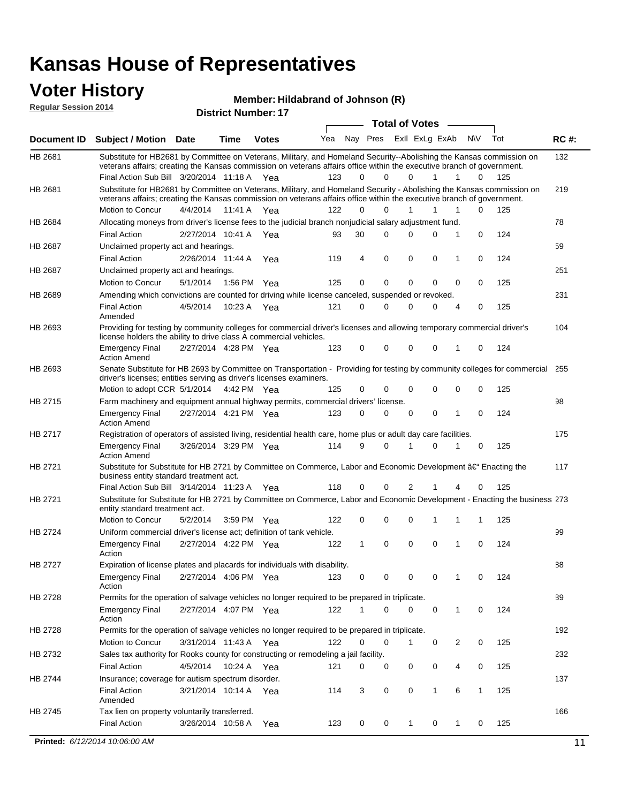## **Voter History**

**Regular Session 2014**

| noguidi ocoololi 4017 |                                                                                                                                                                                                                                                                                               |          |                       | <b>District Number: 17</b> |     |          |             |                       |             |        |              |     |             |
|-----------------------|-----------------------------------------------------------------------------------------------------------------------------------------------------------------------------------------------------------------------------------------------------------------------------------------------|----------|-----------------------|----------------------------|-----|----------|-------------|-----------------------|-------------|--------|--------------|-----|-------------|
|                       |                                                                                                                                                                                                                                                                                               |          |                       |                            |     |          |             | <b>Total of Votes</b> |             | $\sim$ |              |     |             |
| Document ID           | <b>Subject / Motion Date</b>                                                                                                                                                                                                                                                                  |          | <b>Time</b>           | <b>Votes</b>               | Yea |          | Nay Pres    | ExII ExLg ExAb        |             |        | N\V          | Tot | <b>RC#:</b> |
| HB 2681               | Substitute for HB2681 by Committee on Veterans, Military, and Homeland Security--Abolishing the Kansas commission on<br>veterans affairs; creating the Kansas commission on veterans affairs office within the executive branch of government.<br>Final Action Sub Bill 3/20/2014 11:18 A Yea |          |                       |                            | 123 | $\Omega$ | 0           | 0                     | 1           | 1      | 0            | 125 | 132         |
| HB 2681               | Substitute for HB2681 by Committee on Veterans, Military, and Homeland Security - Abolishing the Kansas commission on<br>veterans affairs; creating the Kansas commission on veterans affairs office within the executive branch of government.                                               |          |                       |                            |     |          |             |                       |             |        |              |     | 219         |
|                       | Motion to Concur                                                                                                                                                                                                                                                                              | 4/4/2014 | 11:41 A               | Yea                        | 122 | $\Omega$ | 0           | 1                     | 1           | 1      | 0            | 125 |             |
| HB 2684               | Allocating moneys from driver's license fees to the judicial branch nonjudicial salary adjustment fund.<br><b>Final Action</b>                                                                                                                                                                |          | 2/27/2014 10:41 A     |                            | 93  | 30       | 0           | $\Omega$              | 0           | 1      | 0            | 124 | 78          |
| HB 2687               | Unclaimed property act and hearings.                                                                                                                                                                                                                                                          |          |                       | Yea                        |     |          |             |                       |             |        |              |     | 59          |
|                       | <b>Final Action</b>                                                                                                                                                                                                                                                                           |          | 2/26/2014 11:44 A     | Yea                        | 119 | 4        | $\mathbf 0$ | 0                     | 0           | 1      | 0            | 124 |             |
| HB 2687               | Unclaimed property act and hearings.                                                                                                                                                                                                                                                          |          |                       |                            |     |          |             |                       |             |        |              |     | 251         |
|                       | Motion to Concur                                                                                                                                                                                                                                                                              | 5/1/2014 | 1:56 PM               | Yea                        | 125 | 0        | $\mathbf 0$ | 0                     | $\mathbf 0$ | 0      | 0            | 125 |             |
| HB 2689               | Amending which convictions are counted for driving while license canceled, suspended or revoked.                                                                                                                                                                                              |          |                       |                            |     |          |             |                       |             |        |              |     | 231         |
|                       | <b>Final Action</b><br>Amended                                                                                                                                                                                                                                                                | 4/5/2014 | 10:23 A               | Yea                        | 121 | 0        | 0           | $\Omega$              | 0           | 4      | 0            | 125 |             |
| HB 2693               | Providing for testing by community colleges for commercial driver's licenses and allowing temporary commercial driver's<br>license holders the ability to drive class A commercial vehicles.                                                                                                  |          |                       |                            |     |          |             |                       |             |        |              |     | 104         |
|                       | Emergency Final<br><b>Action Amend</b>                                                                                                                                                                                                                                                        |          | 2/27/2014 4:28 PM Yea |                            | 123 | 0        | 0           | $\Omega$              | $\mathbf 0$ | 1      | 0            | 124 |             |
| HB 2693               | Senate Substitute for HB 2693 by Committee on Transportation - Providing for testing by community colleges for commercial 255<br>driver's licenses; entities serving as driver's licenses examiners.                                                                                          |          |                       |                            |     |          | 0           | 0                     | 0           | 0      |              |     |             |
|                       | Motion to adopt CCR 5/1/2014 4:42 PM Yea                                                                                                                                                                                                                                                      |          |                       |                            | 125 | 0        |             |                       |             |        | 0            | 125 |             |
| HB 2715               | Farm machinery and equipment annual highway permits, commercial drivers' license.<br>Emergency Final<br><b>Action Amend</b>                                                                                                                                                                   |          | 2/27/2014 4:21 PM Yea |                            | 123 | 0        | 0           | 0                     | 0           | 1      | 0            | 124 | 98          |
| HB 2717               | Registration of operators of assisted living, residential health care, home plus or adult day care facilities.                                                                                                                                                                                |          |                       |                            |     |          |             |                       |             |        |              |     | 175         |
|                       | Emergency Final<br>Action Amend                                                                                                                                                                                                                                                               |          | 3/26/2014 3:29 PM Yea |                            | 114 | 9        | 0           |                       | 0           |        | 0            | 125 |             |
| HB 2721               | Substitute for Substitute for HB 2721 by Committee on Commerce, Labor and Economic Development †Enacting the<br>business entity standard treatment act.                                                                                                                                       |          |                       |                            |     |          |             |                       |             |        |              |     | 117         |
|                       | Final Action Sub Bill 3/14/2014 11:23 A Yea                                                                                                                                                                                                                                                   |          |                       |                            | 118 | 0        | 0           | 2                     |             | 4      | 0            | 125 |             |
| HB 2721               | Substitute for Substitute for HB 2721 by Committee on Commerce, Labor and Economic Development - Enacting the business 273<br>entity standard treatment act.                                                                                                                                  |          |                       |                            |     |          |             |                       |             |        |              |     |             |
|                       | Motion to Concur                                                                                                                                                                                                                                                                              | 5/2/2014 | 3:59 PM               | Yea                        | 122 | 0        | 0           | $\mathbf 0$           | 1           | 1      | 1            | 125 |             |
| HB 2724               | Uniform commercial driver's license act; definition of tank vehicle.<br><b>Emergency Final</b>                                                                                                                                                                                                |          | 2/27/2014 4:22 PM Yea |                            | 122 | 1        | 0           | 0                     | $\mathbf 0$ | 1      | 0            | 124 | 99          |
| HB 2727               | Action<br>Expiration of license plates and placards for individuals with disability.                                                                                                                                                                                                          |          |                       |                            |     |          |             |                       |             |        |              |     | 88          |
|                       | Emergency Final<br>Action                                                                                                                                                                                                                                                                     |          | 2/27/2014 4:06 PM Yea |                            | 123 | 0        | 0           | 0                     | 0           | 1      | 0            | 124 |             |
| HB 2728               | Permits for the operation of salvage vehicles no longer required to be prepared in triplicate.                                                                                                                                                                                                |          |                       |                            |     |          |             |                       |             |        |              |     | 89          |
|                       | Emergency Final<br>Action                                                                                                                                                                                                                                                                     |          |                       | 2/27/2014 4:07 PM Yea      | 122 |          | 0           | 0                     | 0           | 1      | 0            | 124 |             |
| HB 2728               | Permits for the operation of salvage vehicles no longer required to be prepared in triplicate.                                                                                                                                                                                                |          |                       |                            |     |          |             |                       |             |        |              |     | 192         |
|                       | Motion to Concur                                                                                                                                                                                                                                                                              |          | 3/31/2014 11:43 A Yea |                            | 122 | 0        | 0           | 1                     | 0           | 2      | 0            | 125 |             |
| HB 2732               | Sales tax authority for Rooks county for constructing or remodeling a jail facility.                                                                                                                                                                                                          |          |                       |                            |     |          |             |                       |             |        |              |     | 232         |
|                       | Final Action                                                                                                                                                                                                                                                                                  | 4/5/2014 |                       | 10:24 A Yea                | 121 | 0        | 0           | 0                     | 0           | 4      | 0            | 125 |             |
| HB 2744               | Insurance; coverage for autism spectrum disorder.                                                                                                                                                                                                                                             |          |                       |                            |     |          |             |                       |             |        |              |     | 137         |
|                       | <b>Final Action</b>                                                                                                                                                                                                                                                                           |          |                       | 3/21/2014 10:14 A Yea      | 114 | 3        | 0           | 0                     | 1           | 6      | $\mathbf{1}$ | 125 |             |
|                       | Amended                                                                                                                                                                                                                                                                                       |          |                       |                            |     |          |             |                       |             |        |              |     |             |
| HB 2745               | Tax lien on property voluntarily transferred.                                                                                                                                                                                                                                                 |          |                       |                            |     |          |             |                       |             |        |              |     | 166         |
|                       | <b>Final Action</b>                                                                                                                                                                                                                                                                           |          | 3/26/2014 10:58 A     | Yea                        | 123 | 0        | 0           | $\mathbf{1}$          | 0           | 1      | 0            | 125 |             |
|                       | Printed: 6/12/2014 10:06:00 AM                                                                                                                                                                                                                                                                |          |                       |                            |     |          |             |                       |             |        |              |     | 11          |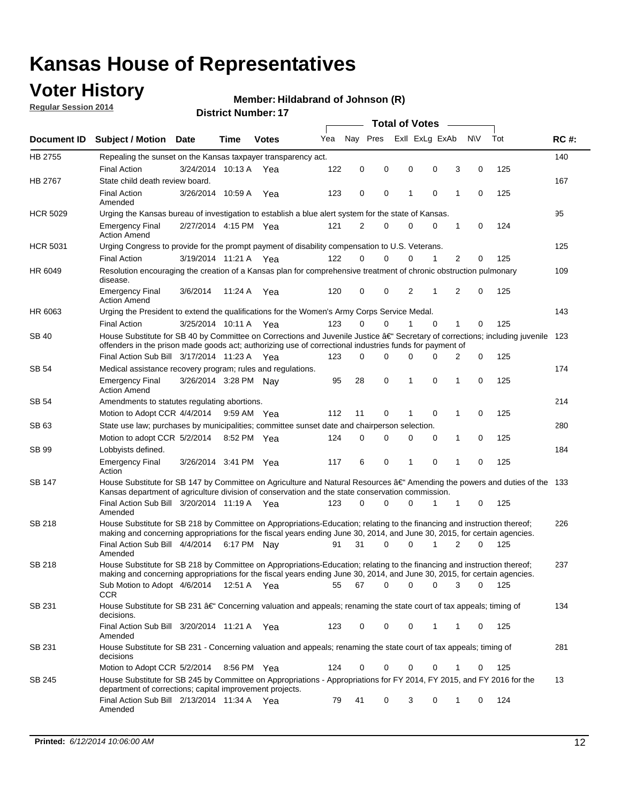## **Voter History**

**Regular Session 2014**

#### **Member: Hildabrand of Johnson (R)**

|                 |                                                                                                                                                                                                                                      |                       |             |              |     |          |             | <b>Total of Votes</b> |                |             |                |          |     |             |
|-----------------|--------------------------------------------------------------------------------------------------------------------------------------------------------------------------------------------------------------------------------------|-----------------------|-------------|--------------|-----|----------|-------------|-----------------------|----------------|-------------|----------------|----------|-----|-------------|
|                 | Document ID Subject / Motion Date                                                                                                                                                                                                    |                       | Time        | <b>Votes</b> | Yea | Nav Pres |             |                       | Exll ExLg ExAb |             | N\V            |          | Tot | <b>RC#:</b> |
| HB 2755         | Repealing the sunset on the Kansas taxpayer transparency act.                                                                                                                                                                        |                       |             |              |     |          |             |                       |                |             |                |          |     | 140         |
|                 | <b>Final Action</b>                                                                                                                                                                                                                  | 3/24/2014 10:13 A     |             | Yea          | 122 | 0        | 0           | 0                     |                | 0           | 3              | 0        | 125 |             |
| HB 2767         | State child death review board.                                                                                                                                                                                                      |                       |             |              |     |          |             |                       |                |             |                |          |     | 167         |
|                 | <b>Final Action</b><br>Amended                                                                                                                                                                                                       | 3/26/2014 10:59 A     |             | Yea          | 123 | 0        | 0           | 1                     |                | $\mathbf 0$ | 1              | 0        | 125 |             |
| <b>HCR 5029</b> | Urging the Kansas bureau of investigation to establish a blue alert system for the state of Kansas.                                                                                                                                  |                       |             |              |     |          |             |                       |                |             |                |          |     | 95          |
|                 | <b>Emergency Final</b><br><b>Action Amend</b>                                                                                                                                                                                        | 2/27/2014 4:15 PM Yea |             |              | 121 | 2        | 0           | 0                     |                | 0           | 1              | 0        | 124 |             |
| <b>HCR 5031</b> | Urging Congress to provide for the prompt payment of disability compensation to U.S. Veterans.                                                                                                                                       |                       |             |              |     |          |             |                       |                |             |                |          |     | 125         |
|                 | <b>Final Action</b>                                                                                                                                                                                                                  | 3/19/2014 11:21 A Yea |             |              | 122 | $\Omega$ | 0           | 0                     |                | 1           | $\overline{2}$ | 0        | 125 |             |
| HR 6049         | Resolution encouraging the creation of a Kansas plan for comprehensive treatment of chronic obstruction pulmonary<br>disease.                                                                                                        |                       |             |              |     |          |             |                       |                |             |                |          |     | 109         |
|                 | <b>Emergency Final</b><br><b>Action Amend</b>                                                                                                                                                                                        | 3/6/2014              | 11:24 A     | Yea          | 120 | 0        | 0           | 2                     |                | 1           | 2              | 0        | 125 |             |
| HR 6063         | Urging the President to extend the qualifications for the Women's Army Corps Service Medal.                                                                                                                                          |                       |             |              |     |          |             |                       |                |             |                |          |     | 143         |
|                 | <b>Final Action</b>                                                                                                                                                                                                                  | 3/25/2014 10:11 A Yea |             |              | 123 | $\Omega$ | $\Omega$    | 1                     |                | $\Omega$    | 1              | 0        | 125 |             |
| <b>SB 40</b>    | House Substitute for SB 40 by Committee on Corrections and Juvenile Justice †Secretary of corrections; including juvenile<br>offenders in the prison made goods act; authorizing use of correctional industries funds for payment of |                       |             |              |     |          |             |                       |                |             |                |          |     | 123         |
|                 | Final Action Sub Bill 3/17/2014 11:23 A Yea                                                                                                                                                                                          |                       |             |              | 123 | 0        | 0           | 0                     |                | $\Omega$    | 2              | 0        | 125 |             |
| SB 54           | Medical assistance recovery program; rules and regulations.                                                                                                                                                                          |                       |             |              |     |          |             |                       |                |             |                |          |     | 174         |
|                 | <b>Emergency Final</b><br><b>Action Amend</b>                                                                                                                                                                                        | 3/26/2014 3:28 PM Nay |             |              | 95  | 28       | $\mathbf 0$ | 1                     |                | 0           | $\mathbf{1}$   | 0        | 125 |             |
| SB 54           | Amendments to statutes regulating abortions.                                                                                                                                                                                         |                       |             |              |     |          |             |                       |                |             |                |          |     | 214         |
|                 | Motion to Adopt CCR 4/4/2014                                                                                                                                                                                                         |                       | 9:59 AM Yea |              | 112 | 11       | 0           |                       |                | $\mathbf 0$ | 1              | 0        | 125 |             |
| SB 63           | State use law; purchases by municipalities; committee sunset date and chairperson selection.                                                                                                                                         |                       |             |              |     |          |             |                       |                |             |                |          |     | 280         |
|                 | Motion to adopt CCR 5/2/2014                                                                                                                                                                                                         |                       |             | 8:52 PM Yea  | 124 | 0        | 0           | 0                     |                | 0           | 1              | 0        | 125 |             |
| SB 99           | Lobbyists defined.                                                                                                                                                                                                                   |                       |             |              |     |          |             |                       |                |             |                |          |     | 184         |
|                 | <b>Emergency Final</b><br>Action                                                                                                                                                                                                     | 3/26/2014 3:41 PM Yea |             |              | 117 | 6        | 0           | 1                     |                | $\mathbf 0$ | 1              | 0        | 125 |             |
| SB 147          | House Substitute for SB 147 by Committee on Agriculture and Natural Resources †Amending the powers and duties of the 133<br>Kansas department of agriculture division of conservation and the state conservation commission.         |                       |             |              |     |          |             |                       |                |             |                |          |     |             |
|                 | Final Action Sub Bill 3/20/2014 11:19 A Yea<br>Amended                                                                                                                                                                               |                       |             |              | 123 | 0        | 0           | 0                     |                | 1           | 1              | 0        | 125 |             |
| <b>SB 218</b>   | House Substitute for SB 218 by Committee on Appropriations-Education; relating to the financing and instruction thereof;                                                                                                             |                       |             |              |     |          |             |                       |                |             |                |          |     | 226         |
|                 | making and concerning appropriations for the fiscal years ending June 30, 2014, and June 30, 2015, for certain agencies.<br>Final Action Sub Bill 4/4/2014 6:17 PM Nay                                                               |                       |             |              | 91  | 31       | $\Omega$    | 0                     |                | 1           | 2              | $\Omega$ | 125 |             |
|                 | Amended                                                                                                                                                                                                                              |                       |             |              |     |          |             |                       |                |             |                |          |     |             |
| <b>SB 218</b>   | House Substitute for SB 218 by Committee on Appropriations-Education; relating to the financing and instruction thereof;                                                                                                             |                       |             |              |     |          |             |                       |                |             |                |          |     | 237         |
|                 | making and concerning appropriations for the fiscal years ending June 30, 2014, and June 30, 2015, for certain agencies.                                                                                                             |                       |             |              |     |          |             |                       |                |             |                |          |     |             |
|                 | Sub Motion to Adopt 4/6/2014 12:51 A Yea<br>CCR                                                                                                                                                                                      |                       |             |              | 55  | 67       | 0           | 0                     |                | 0           | 3              | 0        | 125 |             |
| SB 231          | House Substitute for SB 231 †Concerning valuation and appeals; renaming the state court of tax appeals; timing of<br>decisions.                                                                                                      |                       |             |              |     |          |             |                       |                |             |                |          |     | 134         |
|                 | Final Action Sub Bill 3/20/2014 11:21 A Yea<br>Amended                                                                                                                                                                               |                       |             |              | 123 | 0        | 0           | 0                     |                | 1           | 1              | 0        | 125 |             |
| SB 231          | House Substitute for SB 231 - Concerning valuation and appeals; renaming the state court of tax appeals; timing of<br>decisions                                                                                                      |                       |             |              |     |          |             |                       |                |             |                |          |     | 281         |
|                 | Motion to Adopt CCR 5/2/2014                                                                                                                                                                                                         |                       |             | 8:56 PM Yea  | 124 | 0        | 0           | 0                     |                | 0           | 1              | 0        | 125 |             |
| SB 245          | House Substitute for SB 245 by Committee on Appropriations - Appropriations for FY 2014, FY 2015, and FY 2016 for the<br>department of corrections; capital improvement projects.                                                    |                       |             |              |     |          |             |                       |                |             |                |          |     | 13          |
|                 | Final Action Sub Bill 2/13/2014 11:34 A Yea<br>Amended                                                                                                                                                                               |                       |             |              | 79  | 41       | 0           | 3                     |                | 0           | 1              | 0        | 124 |             |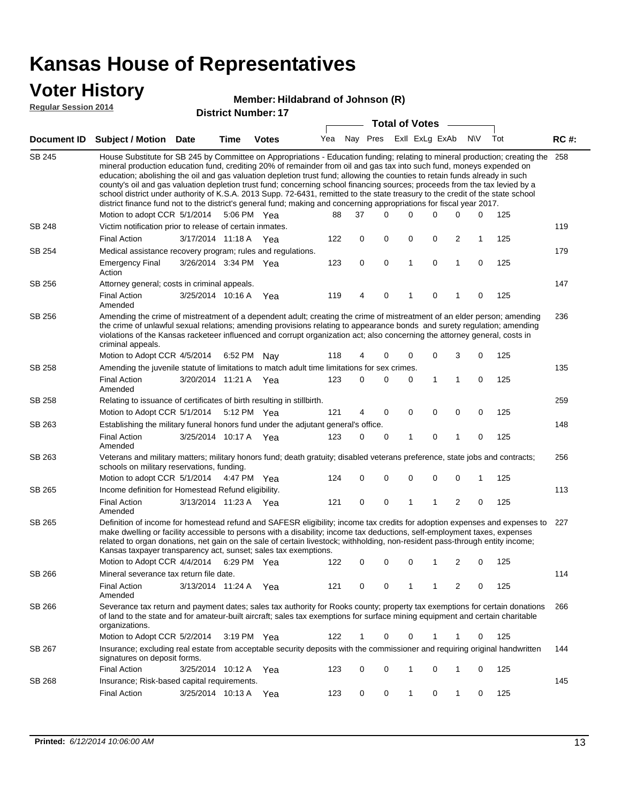## **Voter History**

#### **Member: Hildabrand of Johnson (R)**

**Regular Session 2014**

|               |                                                                                                                                                                                                                                                                                                                                                                                                                                                                                                                                                                                                                                                                                                                                                                               |                       |      |                       |     |          |           | <b>Total of Votes</b> |             |                         |             |     |             |
|---------------|-------------------------------------------------------------------------------------------------------------------------------------------------------------------------------------------------------------------------------------------------------------------------------------------------------------------------------------------------------------------------------------------------------------------------------------------------------------------------------------------------------------------------------------------------------------------------------------------------------------------------------------------------------------------------------------------------------------------------------------------------------------------------------|-----------------------|------|-----------------------|-----|----------|-----------|-----------------------|-------------|-------------------------|-------------|-----|-------------|
| Document ID   | <b>Subject / Motion Date</b>                                                                                                                                                                                                                                                                                                                                                                                                                                                                                                                                                                                                                                                                                                                                                  |                       | Time | <b>Votes</b>          | Yea | Nay Pres |           | Exll ExLg ExAb        |             |                         | <b>NV</b>   | Tot | <b>RC#:</b> |
| <b>SB 245</b> | House Substitute for SB 245 by Committee on Appropriations - Education funding; relating to mineral production; creating the<br>mineral production education fund, crediting 20% of remainder from oil and gas tax into such fund, moneys expended on<br>education; abolishing the oil and gas valuation depletion trust fund; allowing the counties to retain funds already in such<br>county's oil and gas valuation depletion trust fund; concerning school financing sources; proceeds from the tax levied by a<br>school district under authority of K.S.A. 2013 Supp. 72-6431, remitted to the state treasury to the credit of the state school<br>district finance fund not to the district's general fund; making and concerning appropriations for fiscal year 2017. |                       |      |                       |     |          |           |                       |             |                         |             |     | 258         |
|               | Motion to adopt CCR 5/1/2014                                                                                                                                                                                                                                                                                                                                                                                                                                                                                                                                                                                                                                                                                                                                                  |                       |      | 5:06 PM Yea           | 88  | 37       | $\Omega$  | 0                     | 0           | 0                       | 0           | 125 |             |
| SB 248        | Victim notification prior to release of certain inmates.                                                                                                                                                                                                                                                                                                                                                                                                                                                                                                                                                                                                                                                                                                                      |                       |      |                       |     |          |           |                       |             |                         |             |     | 119         |
|               | <b>Final Action</b>                                                                                                                                                                                                                                                                                                                                                                                                                                                                                                                                                                                                                                                                                                                                                           | 3/17/2014 11:18 A Yea |      |                       | 122 | 0        | 0         | 0                     | 0           | $\overline{\mathbf{c}}$ | 1           | 125 |             |
| SB 254        | Medical assistance recovery program; rules and regulations.                                                                                                                                                                                                                                                                                                                                                                                                                                                                                                                                                                                                                                                                                                                   |                       |      |                       |     |          |           |                       |             |                         |             |     | 179         |
|               | <b>Emergency Final</b><br>Action                                                                                                                                                                                                                                                                                                                                                                                                                                                                                                                                                                                                                                                                                                                                              | 3/26/2014 3:34 PM Yea |      |                       | 123 | 0        | $\pmb{0}$ | 1                     | 0           | 1                       | 0           | 125 |             |
| SB 256        | Attorney general; costs in criminal appeals.                                                                                                                                                                                                                                                                                                                                                                                                                                                                                                                                                                                                                                                                                                                                  |                       |      |                       |     |          |           |                       |             |                         |             |     | 147         |
|               | <b>Final Action</b><br>Amended                                                                                                                                                                                                                                                                                                                                                                                                                                                                                                                                                                                                                                                                                                                                                | 3/25/2014 10:16 A     |      | Yea                   | 119 | 4        | 0         | 1                     | 0           | 1                       | 0           | 125 |             |
| SB 256        | Amending the crime of mistreatment of a dependent adult; creating the crime of mistreatment of an elder person; amending<br>the crime of unlawful sexual relations; amending provisions relating to appearance bonds and surety regulation; amending<br>violations of the Kansas racketeer influenced and corrupt organization act; also concerning the attorney general, costs in<br>criminal appeals.                                                                                                                                                                                                                                                                                                                                                                       |                       |      |                       |     |          |           |                       |             |                         |             |     | 236         |
|               | Motion to Adopt CCR 4/5/2014                                                                                                                                                                                                                                                                                                                                                                                                                                                                                                                                                                                                                                                                                                                                                  |                       |      | 6:52 PM Nav           | 118 | 4        | 0         | 0                     | 0           | 3                       | 0           | 125 |             |
| SB 258        | Amending the juvenile statute of limitations to match adult time limitations for sex crimes.                                                                                                                                                                                                                                                                                                                                                                                                                                                                                                                                                                                                                                                                                  |                       |      |                       |     |          |           |                       |             |                         |             |     | 135         |
|               | <b>Final Action</b><br>Amended                                                                                                                                                                                                                                                                                                                                                                                                                                                                                                                                                                                                                                                                                                                                                | 3/20/2014 11:21 A Yea |      |                       | 123 | 0        | 0         | 0                     | 1           | 1                       | 0           | 125 |             |
| SB 258        | Relating to issuance of certificates of birth resulting in stillbirth.                                                                                                                                                                                                                                                                                                                                                                                                                                                                                                                                                                                                                                                                                                        |                       |      |                       |     |          |           |                       |             |                         |             |     | 259         |
|               | Motion to Adopt CCR 5/1/2014                                                                                                                                                                                                                                                                                                                                                                                                                                                                                                                                                                                                                                                                                                                                                  |                       |      | 5:12 PM Yea           | 121 | 4        | 0         | 0                     | $\mathbf 0$ | 0                       | $\mathbf 0$ | 125 |             |
| SB 263        | Establishing the military funeral honors fund under the adjutant general's office.                                                                                                                                                                                                                                                                                                                                                                                                                                                                                                                                                                                                                                                                                            |                       |      |                       |     |          |           |                       |             |                         |             |     | 148         |
|               | <b>Final Action</b><br>Amended                                                                                                                                                                                                                                                                                                                                                                                                                                                                                                                                                                                                                                                                                                                                                | 3/25/2014 10:17 A Yea |      |                       | 123 | 0        | 0         | 1                     | 0           | 1                       | 0           | 125 |             |
| SB 263        | Veterans and military matters; military honors fund; death gratuity; disabled veterans preference, state jobs and contracts;<br>schools on military reservations, funding.                                                                                                                                                                                                                                                                                                                                                                                                                                                                                                                                                                                                    |                       |      |                       |     |          |           |                       |             |                         |             |     | 256         |
|               | Motion to adopt CCR 5/1/2014                                                                                                                                                                                                                                                                                                                                                                                                                                                                                                                                                                                                                                                                                                                                                  |                       |      | 4:47 PM Yea           | 124 | 0        | 0         | 0                     | 0           | $\mathbf 0$             | 1           | 125 |             |
| SB 265        | Income definition for Homestead Refund eligibility.                                                                                                                                                                                                                                                                                                                                                                                                                                                                                                                                                                                                                                                                                                                           |                       |      |                       |     |          |           |                       |             |                         |             |     | 113         |
|               | <b>Final Action</b><br>Amended                                                                                                                                                                                                                                                                                                                                                                                                                                                                                                                                                                                                                                                                                                                                                | 3/13/2014 11:23 A Yea |      |                       | 121 | 0        | 0         | 1                     | 1           | 2                       | $\mathbf 0$ | 125 |             |
| SB 265        | Definition of income for homestead refund and SAFESR eligibility; income tax credits for adoption expenses and expenses to<br>make dwelling or facility accessible to persons with a disability; income tax deductions, self-employment taxes, expenses<br>related to organ donations, net gain on the sale of certain livestock; withholding, non-resident pass-through entity income;<br>Kansas taxpayer transparency act, sunset; sales tax exemptions.                                                                                                                                                                                                                                                                                                                    |                       |      |                       |     |          |           |                       |             |                         |             |     | 227         |
|               | Motion to Adopt CCR 4/4/2014 6:29 PM Yea                                                                                                                                                                                                                                                                                                                                                                                                                                                                                                                                                                                                                                                                                                                                      |                       |      |                       | 122 | 0        | 0         | 0                     | 1           | 2                       | 0           | 125 |             |
| SB 266        | Mineral severance tax return file date.                                                                                                                                                                                                                                                                                                                                                                                                                                                                                                                                                                                                                                                                                                                                       |                       |      |                       |     |          |           |                       |             |                         |             |     | 114         |
|               | <b>Final Action</b><br>Amended                                                                                                                                                                                                                                                                                                                                                                                                                                                                                                                                                                                                                                                                                                                                                | 3/13/2014 11:24 A Yea |      |                       | 121 | 0        | 0         |                       | 1           | 2                       | 0           | 125 |             |
| SB 266        | Severance tax return and payment dates; sales tax authority for Rooks county; property tax exemptions for certain donations<br>of land to the state and for amateur-built aircraft; sales tax exemptions for surface mining equipment and certain charitable<br>organizations.                                                                                                                                                                                                                                                                                                                                                                                                                                                                                                |                       |      |                       |     |          |           |                       |             |                         |             |     | 266         |
|               | Motion to Adopt CCR 5/2/2014                                                                                                                                                                                                                                                                                                                                                                                                                                                                                                                                                                                                                                                                                                                                                  |                       |      | $3:19 \text{ PM}$ Yea | 122 | 1        | 0         | 0                     | 1           | 1                       | 0           | 125 |             |
| SB 267        | Insurance; excluding real estate from acceptable security deposits with the commissioner and requiring original handwritten<br>signatures on deposit forms.                                                                                                                                                                                                                                                                                                                                                                                                                                                                                                                                                                                                                   |                       |      |                       |     |          |           |                       |             |                         |             |     | 144         |
|               | <b>Final Action</b>                                                                                                                                                                                                                                                                                                                                                                                                                                                                                                                                                                                                                                                                                                                                                           | 3/25/2014 10:12 A Yea |      |                       | 123 | 0        | 0         | 1                     | 0           | 1                       | 0           | 125 |             |
| SB 268        | Insurance; Risk-based capital requirements.                                                                                                                                                                                                                                                                                                                                                                                                                                                                                                                                                                                                                                                                                                                                   |                       |      |                       |     |          |           |                       |             |                         |             |     | 145         |
|               | <b>Final Action</b>                                                                                                                                                                                                                                                                                                                                                                                                                                                                                                                                                                                                                                                                                                                                                           | 3/25/2014 10:13 A Yea |      |                       | 123 | 0        | 0         | 1                     | 0           | 1                       | 0           | 125 |             |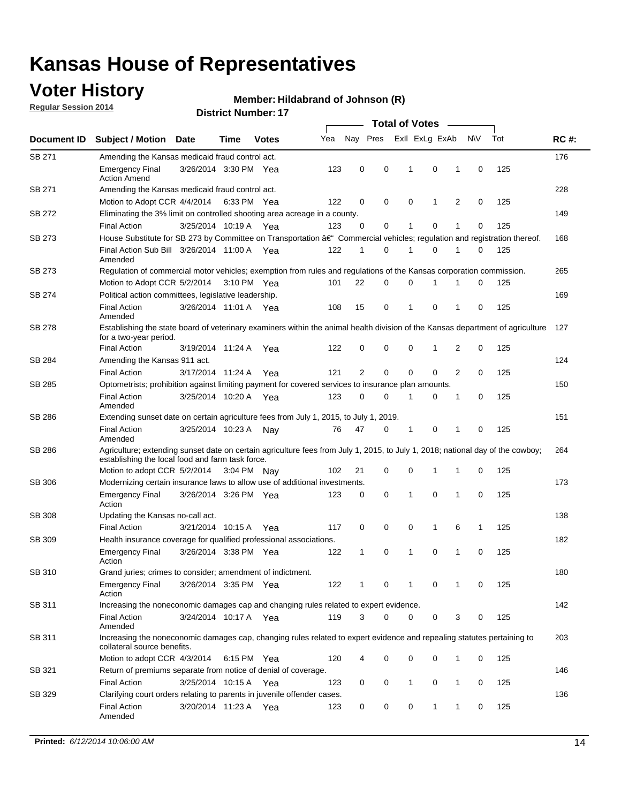## **Voter History**

**Regular Session 2014**

#### **Member: Hildabrand of Johnson (R)**

|               |                                                                                                                                                                                    |                       |      |              |     |              |             | <b>Total of Votes</b> |                |   |             |     |             |
|---------------|------------------------------------------------------------------------------------------------------------------------------------------------------------------------------------|-----------------------|------|--------------|-----|--------------|-------------|-----------------------|----------------|---|-------------|-----|-------------|
| Document ID   | <b>Subject / Motion Date</b>                                                                                                                                                       |                       | Time | <b>Votes</b> | Yea |              | Nay Pres    |                       | Exll ExLg ExAb |   | N\V         | Tot | <b>RC#:</b> |
| SB 271        | Amending the Kansas medicaid fraud control act.                                                                                                                                    |                       |      |              |     |              |             |                       |                |   |             |     | 176         |
|               | <b>Emergency Final</b><br><b>Action Amend</b>                                                                                                                                      | 3/26/2014 3:30 PM Yea |      |              | 123 | 0            | 0           | -1                    | 0              | 1 | 0           | 125 |             |
| SB 271        | Amending the Kansas medicaid fraud control act.                                                                                                                                    |                       |      |              |     |              |             |                       |                |   |             |     | 228         |
|               | Motion to Adopt CCR 4/4/2014 6:33 PM Yea                                                                                                                                           |                       |      |              | 122 | 0            | 0           | 0                     | 1              | 2 | 0           | 125 |             |
| SB 272        | Eliminating the 3% limit on controlled shooting area acreage in a county.                                                                                                          |                       |      |              |     |              |             |                       |                |   |             |     | 149         |
|               | <b>Final Action</b>                                                                                                                                                                | 3/25/2014 10:19 A Yea |      |              | 123 | 0            | 0           | 1                     | 0              | 1 | 0           | 125 |             |
| SB 273        | House Substitute for SB 273 by Committee on Transportation †Commercial vehicles; regulation and registration thereof.                                                              |                       |      |              |     |              |             |                       |                |   |             |     | 168         |
|               | Final Action Sub Bill 3/26/2014 11:00 A Yea<br>Amended                                                                                                                             |                       |      |              | 122 | 1            | 0           | 1                     | 0              | 1 | 0           | 125 |             |
| SB 273        | Regulation of commercial motor vehicles; exemption from rules and regulations of the Kansas corporation commission.                                                                |                       |      |              |     |              |             |                       |                |   |             |     | 265         |
|               | Motion to Adopt CCR 5/2/2014 3:10 PM Yea                                                                                                                                           |                       |      |              | 101 | 22           | 0           | 0                     | 1              | 1 | 0           | 125 |             |
| SB 274        | Political action committees, legislative leadership.                                                                                                                               |                       |      |              |     |              |             |                       |                |   |             |     | 169         |
|               | <b>Final Action</b><br>Amended                                                                                                                                                     | 3/26/2014 11:01 A Yea |      |              | 108 | 15           | 0           | $\mathbf{1}$          | $\mathbf 0$    | 1 | 0           | 125 |             |
| <b>SB 278</b> | Establishing the state board of veterinary examiners within the animal health division of the Kansas department of agriculture<br>for a two-year period.                           |                       |      |              |     |              |             |                       |                |   |             |     | 127         |
|               | <b>Final Action</b>                                                                                                                                                                | 3/19/2014 11:24 A     |      | Yea          | 122 | 0            | 0           | 0                     | 1              | 2 | 0           | 125 |             |
| SB 284        | Amending the Kansas 911 act.                                                                                                                                                       |                       |      |              |     |              |             |                       |                |   |             |     | 124         |
|               | <b>Final Action</b>                                                                                                                                                                | 3/17/2014 11:24 A     |      | Yea          | 121 | 2            | $\mathbf 0$ | $\mathbf 0$           | $\mathbf 0$    | 2 | 0           | 125 |             |
| SB 285        | Optometrists; prohibition against limiting payment for covered services to insurance plan amounts.                                                                                 |                       |      |              |     |              |             |                       |                |   |             |     | 150         |
|               | <b>Final Action</b><br>Amended                                                                                                                                                     | 3/25/2014 10:20 A Yea |      |              | 123 | 0            | 0           | $\mathbf{1}$          | 0              | 1 | $\mathbf 0$ | 125 |             |
| SB 286        | Extending sunset date on certain agriculture fees from July 1, 2015, to July 1, 2019.                                                                                              |                       |      |              |     |              |             |                       |                |   |             |     | 151         |
|               | <b>Final Action</b><br>Amended                                                                                                                                                     | 3/25/2014 10:23 A     |      | Nay          | 76  | 47           | 0           | -1                    | 0              | 1 | 0           | 125 |             |
| SB 286        | Agriculture; extending sunset date on certain agriculture fees from July 1, 2015, to July 1, 2018; national day of the cowboy;<br>establishing the local food and farm task force. |                       |      |              |     |              |             |                       |                |   |             |     | 264         |
|               | Motion to adopt CCR 5/2/2014 3:04 PM Nav                                                                                                                                           |                       |      |              | 102 | 21           | 0           | 0                     | 1              | 1 | 0           | 125 |             |
| <b>SB 306</b> | Modernizing certain insurance laws to allow use of additional investments.                                                                                                         |                       |      |              |     |              |             |                       |                |   |             |     | 173         |
|               | <b>Emergency Final</b><br>Action                                                                                                                                                   | 3/26/2014 3:26 PM Yea |      |              | 123 | 0            | 0           | 1                     | 0              | 1 | 0           | 125 |             |
| <b>SB 308</b> | Updating the Kansas no-call act.                                                                                                                                                   |                       |      |              |     |              |             |                       |                |   |             |     | 138         |
|               | <b>Final Action</b>                                                                                                                                                                | 3/21/2014 10:15 A     |      | Yea          | 117 | 0            | 0           | 0                     | $\mathbf{1}$   | 6 | 1           | 125 |             |
| SB 309        | Health insurance coverage for qualified professional associations.                                                                                                                 |                       |      |              |     |              |             |                       |                |   |             |     | 182         |
|               | <b>Emergency Final</b><br>Action                                                                                                                                                   | 3/26/2014 3:38 PM Yea |      |              | 122 | $\mathbf{1}$ | 0           | 1                     | 0              | 1 | $\mathbf 0$ | 125 |             |
| SB 310        | Grand juries; crimes to consider; amendment of indictment.                                                                                                                         |                       |      |              |     |              |             |                       |                |   |             |     | 180         |
|               | <b>Emergency Final</b><br>Action                                                                                                                                                   | 3/26/2014 3:35 PM Yea |      |              | 122 | 1            | 0           | 1                     | 0              | 1 | 0           | 125 |             |
| SB 311        | Increasing the noneconomic damages cap and changing rules related to expert evidence.                                                                                              |                       |      |              |     |              |             |                       |                |   |             |     | 142         |
|               | <b>Final Action</b><br>Amended                                                                                                                                                     | 3/24/2014 10:17 A Yea |      |              | 119 | 3            | $\Omega$    | 0                     | 0              | 3 | 0           | 125 |             |
| SB 311        | Increasing the noneconomic damages cap, changing rules related to expert evidence and repealing statutes pertaining to<br>collateral source benefits.                              |                       |      |              |     |              |             |                       |                |   |             |     | 203         |
|               | Motion to adopt CCR 4/3/2014 6:15 PM Yea                                                                                                                                           |                       |      |              | 120 | 4            | 0           | 0                     | 0              | 1 | 0           | 125 |             |
| SB 321        | Return of premiums separate from notice of denial of coverage.                                                                                                                     |                       |      |              |     |              |             |                       |                |   |             |     | 146         |
|               | <b>Final Action</b>                                                                                                                                                                | 3/25/2014 10:15 A Yea |      |              | 123 | 0            | 0           | $\mathbf{1}$          | 0              | 1 | 0           | 125 |             |
| SB 329        | Clarifying court orders relating to parents in juvenile offender cases.<br><b>Final Action</b><br>Amended                                                                          | 3/20/2014 11:23 A Yea |      |              | 123 | 0            | 0           | 0                     | 1              | 1 | 0           | 125 | 136         |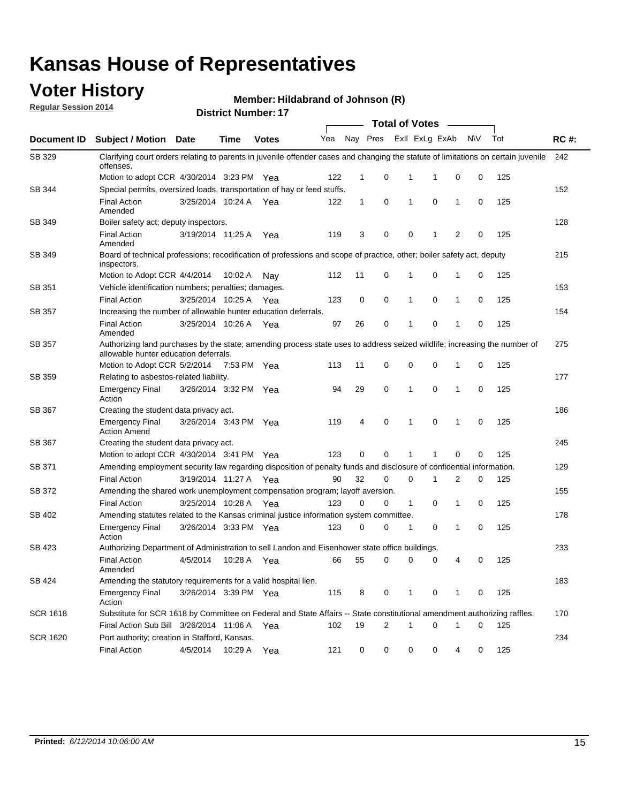## **Voter History**

**Regular Session 2014**

**Member: Hildabrand of Johnson (R)** 

|                 |                                                                                                                                                                    |                       |             |              |     |              |          |              | <b>Total of Votes</b> |                |           |     |             |
|-----------------|--------------------------------------------------------------------------------------------------------------------------------------------------------------------|-----------------------|-------------|--------------|-----|--------------|----------|--------------|-----------------------|----------------|-----------|-----|-------------|
| Document ID     | Subject / Motion Date                                                                                                                                              |                       | <b>Time</b> | <b>Votes</b> | Yea |              | Nay Pres |              | Exll ExLg ExAb        |                | <b>NV</b> | Tot | <b>RC#:</b> |
| SB 329          | Clarifying court orders relating to parents in juvenile offender cases and changing the statute of limitations on certain juvenile<br>offenses.                    |                       |             |              |     |              |          |              |                       |                |           |     | 242         |
|                 | Motion to adopt CCR 4/30/2014 3:23 PM Yea                                                                                                                          |                       |             |              | 122 | $\mathbf 1$  | 0        | 1            | -1                    | 0              | 0         | 125 |             |
| SB 344          | Special permits, oversized loads, transportation of hay or feed stuffs.                                                                                            |                       |             |              |     |              |          |              |                       |                |           |     | 152         |
|                 | <b>Final Action</b><br>Amended                                                                                                                                     | 3/25/2014 10:24 A     |             | Yea          | 122 | $\mathbf{1}$ | 0        | 1            | 0                     | 1              | 0         | 125 |             |
| SB 349          | Boiler safety act; deputy inspectors.                                                                                                                              |                       |             |              |     |              |          |              |                       |                |           |     | 128         |
|                 | <b>Final Action</b><br>Amended                                                                                                                                     | 3/19/2014 11:25 A     |             | Yea          | 119 | 3            | 0        | 0            | 1                     | $\overline{2}$ | 0         | 125 |             |
| SB 349          | Board of technical professions; recodification of professions and scope of practice, other; boiler safety act, deputy<br>inspectors.                               |                       |             |              |     |              |          |              |                       |                |           |     | 215         |
|                 | Motion to Adopt CCR 4/4/2014                                                                                                                                       |                       | 10:02 A     | Nay          | 112 | 11           | 0        | 1            | 0                     | 1              | 0         | 125 |             |
| SB 351          | Vehicle identification numbers; penalties; damages.                                                                                                                |                       |             |              |     |              |          |              |                       |                |           |     | 153         |
|                 | <b>Final Action</b>                                                                                                                                                | 3/25/2014 10:25 A     |             | Yea          | 123 | 0            | 0        | 1            | 0                     | 1              | 0         | 125 |             |
| <b>SB 357</b>   | Increasing the number of allowable hunter education deferrals.                                                                                                     |                       |             |              |     |              |          |              |                       |                |           |     | 154         |
|                 | <b>Final Action</b><br>Amended                                                                                                                                     | 3/25/2014 10:26 A     |             | Yea          | 97  | 26           | 0        | 1            | 0                     | 1              | 0         | 125 |             |
| <b>SB 357</b>   | Authorizing land purchases by the state; amending process state uses to address seized wildlife; increasing the number of<br>allowable hunter education deferrals. |                       |             |              |     |              |          |              |                       |                |           |     | 275         |
|                 | Motion to Adopt CCR 5/2/2014                                                                                                                                       |                       | 7:53 PM Yea |              | 113 | 11           | 0        | 0            | $\mathbf 0$           | 1              | 0         | 125 |             |
| SB 359          | Relating to asbestos-related liability.                                                                                                                            |                       |             |              |     |              |          |              |                       |                |           |     | 177         |
|                 | <b>Emergency Final</b><br>Action                                                                                                                                   | 3/26/2014 3:32 PM Yea |             |              | 94  | 29           | 0        | 1            | $\mathbf 0$           | $\mathbf{1}$   | 0         | 125 |             |
| SB 367          | Creating the student data privacy act.                                                                                                                             |                       |             |              |     |              |          |              |                       |                |           |     | 186         |
|                 | <b>Emergency Final</b><br><b>Action Amend</b>                                                                                                                      | 3/26/2014 3:43 PM Yea |             |              | 119 | 4            | 0        | 1            | 0                     | 1              | 0         | 125 |             |
| SB 367          | Creating the student data privacy act.                                                                                                                             |                       |             |              |     |              |          |              |                       |                |           |     | 245         |
|                 | Motion to adopt CCR 4/30/2014 3:41 PM Yea                                                                                                                          |                       |             |              | 123 | 0            | $\Omega$ |              | 1                     | 0              | 0         | 125 |             |
| SB 371          | Amending employment security law regarding disposition of penalty funds and disclosure of confidential information.                                                |                       |             |              |     |              |          |              |                       |                |           |     | 129         |
|                 | <b>Final Action</b>                                                                                                                                                | 3/19/2014 11:27 A     |             | Yea          | 90  | 32           | 0        | $\mathbf 0$  | 1                     | 2              | 0         | 125 |             |
| SB 372          | Amending the shared work unemployment compensation program; layoff aversion.                                                                                       |                       |             |              |     |              |          |              |                       |                |           |     | 155         |
|                 | <b>Final Action</b>                                                                                                                                                | 3/25/2014 10:28 A     |             | Yea          | 123 | 0            | 0        | $\mathbf{1}$ | 0                     | 1              | 0         | 125 |             |
| SB 402          | Amending statutes related to the Kansas criminal justice information system committee.                                                                             |                       |             |              |     |              |          |              |                       |                |           |     | 178         |
|                 | <b>Emergency Final</b><br>Action                                                                                                                                   | 3/26/2014 3:33 PM Yea |             |              | 123 | 0            | 0        | 1            | 0                     | 1              | 0         | 125 |             |
| SB 423          | Authorizing Department of Administration to sell Landon and Eisenhower state office buildings.                                                                     |                       |             |              |     |              |          |              |                       |                |           |     | 233         |
|                 | <b>Final Action</b><br>Amended                                                                                                                                     | 4/5/2014              | 10:28 A Yea |              | 66  | 55           | 0        |              | 0<br>0                | 4              | 0         | 125 |             |
| SB 424          | Amending the statutory requirements for a valid hospital lien.                                                                                                     |                       |             |              |     |              |          |              |                       |                |           |     | 183         |
|                 | <b>Emergency Final</b><br>Action                                                                                                                                   | 3/26/2014 3:39 PM Yea |             |              | 115 | 8            | 0        | 1            | 0                     | 1              | 0         | 125 |             |
| <b>SCR 1618</b> | Substitute for SCR 1618 by Committee on Federal and State Affairs -- State constitutional amendment authorizing raffles.                                           |                       |             |              |     |              |          |              |                       |                |           |     | 170         |
|                 | Final Action Sub Bill 3/26/2014 11:06 A Yea                                                                                                                        |                       |             |              | 102 | 19           | 2        | 1            | 0                     | 1              | 0         | 125 |             |
| <b>SCR 1620</b> | Port authority; creation in Stafford, Kansas.                                                                                                                      |                       |             |              |     |              |          |              |                       |                |           |     | 234         |
|                 | <b>Final Action</b>                                                                                                                                                | 4/5/2014              | 10:29 A Yea |              | 121 | 0            | 0        |              | 0<br>0                | 4              | 0         | 125 |             |